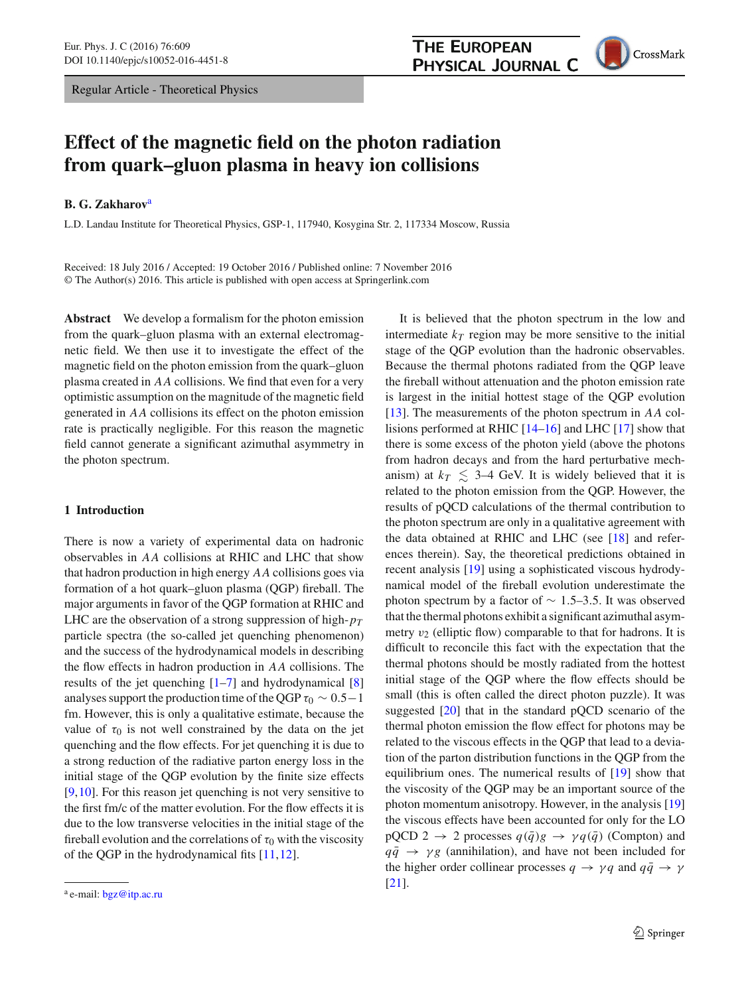Regular Article - Theoretical Physics

# **Effect of the magnetic field on the photon radiation from quark–gluon plasma in heavy ion collisions**

# **B. G. Zakharov**<sup>a</sup>

L.D. Landau Institute for Theoretical Physics, GSP-1, 117940, Kosygina Str. 2, 117334 Moscow, Russia

Received: 18 July 2016 / Accepted: 19 October 2016 / Published online: 7 November 2016 © The Author(s) 2016. This article is published with open access at Springerlink.com

**Abstract** We develop a formalism for the photon emission from the quark–gluon plasma with an external electromagnetic field. We then use it to investigate the effect of the magnetic field on the photon emission from the quark–gluon plasma created in *AA* collisions. We find that even for a very optimistic assumption on the magnitude of the magnetic field generated in *AA* collisions its effect on the photon emission rate is practically negligible. For this reason the magnetic field cannot generate a significant azimuthal asymmetry in the photon spectrum.

# **1 Introduction**

There is now a variety of experimental data on hadronic observables in *AA* collisions at RHIC and LHC that show that hadron production in high energy *AA* collisions goes via formation of a hot quark–gluon plasma (QGP) fireball. The major arguments in favor of the QGP formation at RHIC and LHC are the observation of a strong suppression of high-*pT* particle spectra (the so-called jet quenching phenomenon) and the success of the hydrodynamical models in describing the flow effects in hadron production in *AA* collisions. The results of the jet quenching  $[1-7]$  $[1-7]$  and hydrodynamical  $[8]$ analyses support the production time of the QGP  $\tau_0 \sim 0.5-1$ fm. However, this is only a qualitative estimate, because the value of  $\tau_0$  is not well constrained by the data on the jet quenching and the flow effects. For jet quenching it is due to a strong reduction of the radiative parton energy loss in the initial stage of the QGP evolution by the finite size effects [\[9](#page-12-3),[10\]](#page-12-4). For this reason jet quenching is not very sensitive to the first fm/c of the matter evolution. For the flow effects it is due to the low transverse velocities in the initial stage of the fireball evolution and the correlations of  $\tau_0$  with the viscosity of the QGP in the hydrodynamical fits [\[11](#page-12-5)[,12](#page-12-6)].

It is believed that the photon spectrum in the low and intermediate  $k_T$  region may be more sensitive to the initial stage of the QGP evolution than the hadronic observables. Because the thermal photons radiated from the QGP leave the fireball without attenuation and the photon emission rate is largest in the initial hottest stage of the QGP evolution [\[13](#page-12-7)]. The measurements of the photon spectrum in *AA* collisions performed at RHIC [\[14](#page-12-8)[–16](#page-12-9)] and LHC [\[17](#page-12-10)] show that there is some excess of the photon yield (above the photons from hadron decays and from the hard perturbative mechanism) at  $k_T \leq 3-4$  GeV. It is widely believed that it is related to the photon emission from the QGP. However, the results of pQCD calculations of the thermal contribution to the photon spectrum are only in a qualitative agreement with the data obtained at RHIC and LHC (see [\[18](#page-12-11)] and references therein). Say, the theoretical predictions obtained in recent analysis [\[19\]](#page-12-12) using a sophisticated viscous hydrodynamical model of the fireball evolution underestimate the photon spectrum by a factor of  $\sim 1.5-3.5$ . It was observed that the thermal photons exhibit a significant azimuthal asymmetry  $v_2$  (elliptic flow) comparable to that for hadrons. It is difficult to reconcile this fact with the expectation that the thermal photons should be mostly radiated from the hottest initial stage of the QGP where the flow effects should be small (this is often called the direct photon puzzle). It was suggested [\[20](#page-12-13)] that in the standard pQCD scenario of the thermal photon emission the flow effect for photons may be

related to the viscous effects in the QGP that lead to a deviation of the parton distribution functions in the QGP from the equilibrium ones. The numerical results of [\[19](#page-12-12)] show that the viscosity of the QGP may be an important source of the photon momentum anisotropy. However, in the analysis [\[19\]](#page-12-12) the viscous effects have been accounted for only for the LO  $pQCD$  2  $\rightarrow$  2 processes  $q(\bar{q})g \rightarrow \gamma q(\bar{q})$  (Compton) and  $q\bar{q} \rightarrow \gamma g$  (annihilation), and have not been included for the higher order collinear processes  $q \rightarrow \gamma q$  and  $q\bar{q} \rightarrow \gamma$ 

[\[21](#page-12-14)].



<sup>a</sup> e-mail: [bgz@itp.ac.ru](mailto:bgz@itp.ac.ru)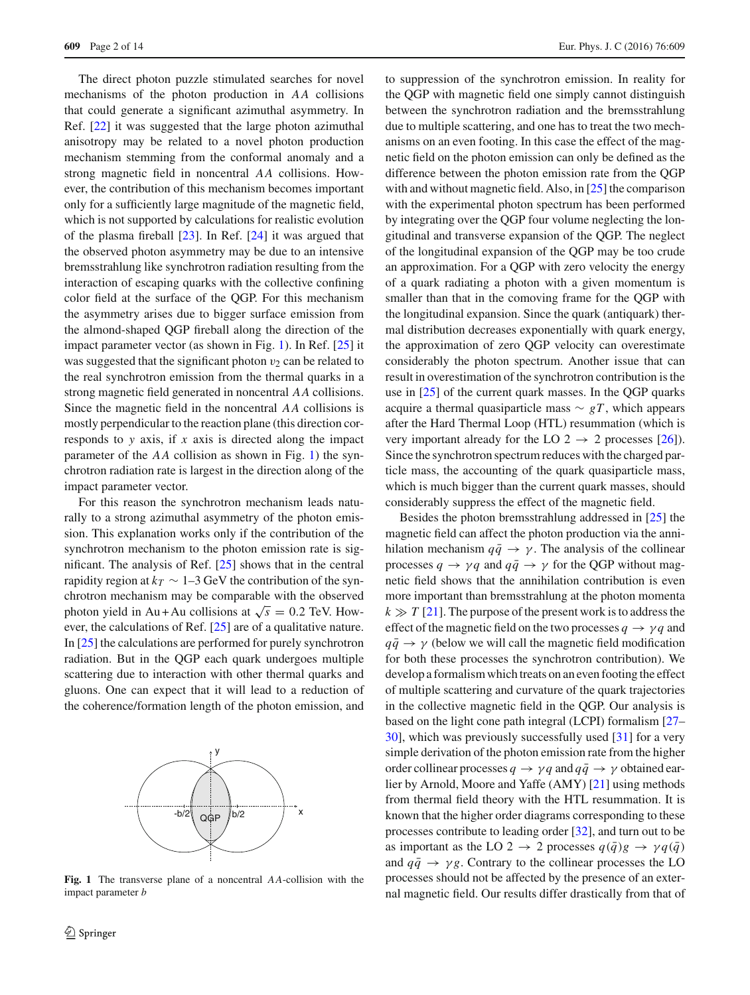The direct photon puzzle stimulated searches for novel mechanisms of the photon production in *AA* collisions that could generate a significant azimuthal asymmetry. In Ref. [\[22\]](#page-12-15) it was suggested that the large photon azimuthal anisotropy may be related to a novel photon production mechanism stemming from the conformal anomaly and a strong magnetic field in noncentral *AA* collisions. However, the contribution of this mechanism becomes important only for a sufficiently large magnitude of the magnetic field, which is not supported by calculations for realistic evolution of the plasma fireball [\[23\]](#page-12-16). In Ref. [\[24](#page-12-17)] it was argued that the observed photon asymmetry may be due to an intensive bremsstrahlung like synchrotron radiation resulting from the interaction of escaping quarks with the collective confining color field at the surface of the QGP. For this mechanism the asymmetry arises due to bigger surface emission from the almond-shaped QGP fireball along the direction of the impact parameter vector (as shown in Fig. [1\)](#page-1-0). In Ref. [\[25\]](#page-12-18) it was suggested that the significant photon  $v_2$  can be related to the real synchrotron emission from the thermal quarks in a strong magnetic field generated in noncentral *AA* collisions. Since the magnetic field in the noncentral *AA* collisions is mostly perpendicular to the reaction plane (this direction corresponds to *y* axis, if *x* axis is directed along the impact parameter of the *AA* collision as shown in Fig. [1\)](#page-1-0) the synchrotron radiation rate is largest in the direction along of the impact parameter vector.

For this reason the synchrotron mechanism leads naturally to a strong azimuthal asymmetry of the photon emission. This explanation works only if the contribution of the synchrotron mechanism to the photon emission rate is significant. The analysis of Ref. [\[25](#page-12-18)] shows that in the central rapidity region at  $k_T \sim 1-3$  GeV the contribution of the synchrotron mechanism may be comparable with the observed photon yield in Au + Au collisions at  $\sqrt{s} = 0.2$  TeV. However, the calculations of Ref. [\[25\]](#page-12-18) are of a qualitative nature. In [\[25](#page-12-18)] the calculations are performed for purely synchrotron radiation. But in the QGP each quark undergoes multiple scattering due to interaction with other thermal quarks and gluons. One can expect that it will lead to a reduction of the coherence/formation length of the photon emission, and



<span id="page-1-0"></span>**Fig. 1** The transverse plane of a noncentral *AA*-collision with the impact parameter *b*

to suppression of the synchrotron emission. In reality for the QGP with magnetic field one simply cannot distinguish between the synchrotron radiation and the bremsstrahlung due to multiple scattering, and one has to treat the two mechanisms on an even footing. In this case the effect of the magnetic field on the photon emission can only be defined as the difference between the photon emission rate from the QGP with and without magnetic field. Also, in [\[25](#page-12-18)] the comparison with the experimental photon spectrum has been performed by integrating over the QGP four volume neglecting the longitudinal and transverse expansion of the QGP. The neglect of the longitudinal expansion of the QGP may be too crude an approximation. For a QGP with zero velocity the energy of a quark radiating a photon with a given momentum is smaller than that in the comoving frame for the QGP with the longitudinal expansion. Since the quark (antiquark) thermal distribution decreases exponentially with quark energy, the approximation of zero QGP velocity can overestimate considerably the photon spectrum. Another issue that can result in overestimation of the synchrotron contribution is the use in [\[25](#page-12-18)] of the current quark masses. In the QGP quarks acquire a thermal quasiparticle mass  $\sim gT$ , which appears after the Hard Thermal Loop (HTL) resummation (which is very important already for the LO 2  $\rightarrow$  2 processes [\[26](#page-12-19)]). Since the synchrotron spectrum reduces with the charged particle mass, the accounting of the quark quasiparticle mass, which is much bigger than the current quark masses, should considerably suppress the effect of the magnetic field.

Besides the photon bremsstrahlung addressed in [\[25](#page-12-18)] the magnetic field can affect the photon production via the annihilation mechanism  $q\bar{q} \rightarrow \gamma$ . The analysis of the collinear processes  $q \rightarrow \gamma q$  and  $q\bar{q} \rightarrow \gamma$  for the QGP without magnetic field shows that the annihilation contribution is even more important than bremsstrahlung at the photon momenta  $k \gg T$  [\[21\]](#page-12-14). The purpose of the present work is to address the effect of the magnetic field on the two processes  $q \rightarrow \gamma q$  and  $q\bar{q} \rightarrow \gamma$  (below we will call the magnetic field modification for both these processes the synchrotron contribution). We develop a formalism which treats on an even footing the effect of multiple scattering and curvature of the quark trajectories in the collective magnetic field in the QGP. Our analysis is based on the light cone path integral (LCPI) formalism [\[27](#page-12-20)– [30](#page-12-21)], which was previously successfully used [\[31](#page-12-22)] for a very simple derivation of the photon emission rate from the higher order collinear processes  $q \to \gamma q$  and  $q\bar{q} \to \gamma$  obtained earlier by Arnold, Moore and Yaffe (AMY) [\[21](#page-12-14)] using methods from thermal field theory with the HTL resummation. It is known that the higher order diagrams corresponding to these processes contribute to leading order [\[32](#page-12-23)], and turn out to be as important as the LO 2  $\rightarrow$  2 processes  $q(\bar{q})g \rightarrow \gamma q(\bar{q})$ and  $q\bar{q} \rightarrow \gamma g$ . Contrary to the collinear processes the LO processes should not be affected by the presence of an external magnetic field. Our results differ drastically from that of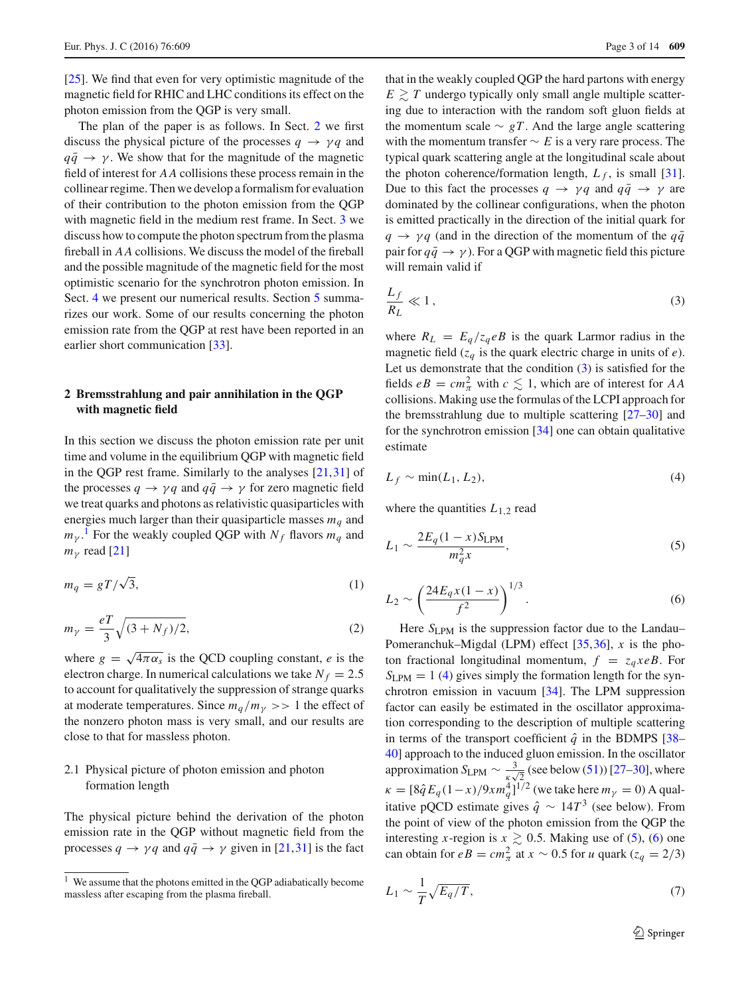[\[25](#page-12-18)]. We find that even for very optimistic magnitude of the magnetic field for RHIC and LHC conditions its effect on the photon emission from the QGP is very small.

The plan of the paper is as follows. In Sect. [2](#page-2-0) we first discuss the physical picture of the processes  $q \rightarrow \gamma q$  and  $q\bar{q} \rightarrow \gamma$ . We show that for the magnitude of the magnetic field of interest for *AA* collisions these process remain in the collinear regime. Then we develop a formalism for evaluation of their contribution to the photon emission from the QGP with magnetic field in the medium rest frame. In Sect. [3](#page-6-0) we discuss how to compute the photon spectrum from the plasma fireball in *AA* collisions. We discuss the model of the fireball and the possible magnitude of the magnetic field for the most optimistic scenario for the synchrotron photon emission. In Sect. [4](#page-9-0) we present our numerical results. Section [5](#page-12-24) summarizes our work. Some of our results concerning the photon emission rate from the QGP at rest have been reported in an earlier short communication [\[33](#page-12-25)].

# <span id="page-2-0"></span>**2 Bremsstrahlung and pair annihilation in the QGP with magnetic field**

In this section we discuss the photon emission rate per unit time and volume in the equilibrium QGP with magnetic field in the QGP rest frame. Similarly to the analyses [\[21](#page-12-14),[31\]](#page-12-22) of the processes  $q \rightarrow \gamma q$  and  $q\bar{q} \rightarrow \gamma$  for zero magnetic field we treat quarks and photons as relativistic quasiparticles with energies much larger than their quasiparticle masses  $m_q$  and  $m_{\gamma}$ .<sup>[1](#page-2-1)</sup> For the weakly coupled QGP with  $N_f$  flavors  $m_q$  and  $m<sub>v</sub>$  read [\[21\]](#page-12-14)

$$
m_q = gT/\sqrt{3},\tag{1}
$$

$$
m_{\gamma} = \frac{eT}{3}\sqrt{(3+N_f)/2},\tag{2}
$$

where  $g = \sqrt{4\pi\alpha_s}$  is the QCD coupling constant, *e* is the electron charge. In numerical calculations we take  $N_f = 2.5$ to account for qualitatively the suppression of strange quarks at moderate temperatures. Since  $m_q/m_\gamma >> 1$  the effect of the nonzero photon mass is very small, and our results are close to that for massless photon.

# 2.1 Physical picture of photon emission and photon formation length

The physical picture behind the derivation of the photon emission rate in the QGP without magnetic field from the processes  $q \rightarrow \gamma q$  and  $q\bar{q} \rightarrow \gamma$  given in [\[21](#page-12-14),[31](#page-12-22)] is the fact

that in the weakly coupled QGP the hard partons with energy  $E \geq T$  undergo typically only small angle multiple scattering due to interaction with the random soft gluon fields at the momentum scale  $\sim gT$ . And the large angle scattering with the momentum transfer ∼ *E* is a very rare process. The typical quark scattering angle at the longitudinal scale about the photon coherence/formation length,  $L_f$ , is small [\[31](#page-12-22)]. Due to this fact the processes  $q \rightarrow \gamma q$  and  $q\bar{q} \rightarrow \gamma$  are dominated by the collinear configurations, when the photon is emitted practically in the direction of the initial quark for  $q \rightarrow \gamma q$  (and in the direction of the momentum of the  $q\bar{q}$ pair for  $q\bar{q} \rightarrow \gamma$ ). For a QGP with magnetic field this picture will remain valid if

<span id="page-2-2"></span>
$$
\frac{L_f}{R_L} \ll 1\,,\tag{3}
$$

where  $R_L = E_q/z_q eB$  is the quark Larmor radius in the magnetic field  $(z_q$  is the quark electric charge in units of *e*). Let us demonstrate that the condition [\(3\)](#page-2-2) is satisfied for the fields  $eB = cm_{\pi}^2$  with  $c \le 1$ , which are of interest for *AA* collisions. Making use the formulas of the LCPI approach for the bremsstrahlung due to multiple scattering [\[27](#page-12-20)[–30](#page-12-21)] and for the synchrotron emission [\[34](#page-12-26)] one can obtain qualitative estimate

<span id="page-2-3"></span>
$$
L_f \sim \min(L_1, L_2),\tag{4}
$$

<span id="page-2-4"></span>where the quantities  $L_{1,2}$  read

$$
L_1 \sim \frac{2E_q(1-x)S_{\text{LPM}}}{m_q^2 x},\tag{5}
$$

<span id="page-2-5"></span>
$$
L_2 \sim \left(\frac{24E_q x (1-x)}{f^2}\right)^{1/3}.
$$
 (6)

Here *S*<sub>LPM</sub> is the suppression factor due to the Landau– Pomeranchuk–Migdal (LPM) effect [\[35](#page-12-27),[36](#page-12-28)], *x* is the photon fractional longitudinal momentum,  $f = z_q x e B$ . For  $S_{\text{LPM}} = 1$  [\(4\)](#page-2-3) gives simply the formation length for the synchrotron emission in vacuum [\[34\]](#page-12-26). The LPM suppression factor can easily be estimated in the oscillator approximation corresponding to the description of multiple scattering in terms of the transport coefficient  $\hat{q}$  in the BDMPS [\[38](#page-12-29)– [40](#page-12-30)] approach to the induced gluon emission. In the oscillator approximation  $S_{\text{LPM}} \sim \frac{3}{\kappa \sqrt{2}}$  (see below [\(51\)](#page-6-1)) [\[27](#page-12-20)[–30](#page-12-21)], where  $\kappa = [8\hat{q}E_q(1-x)/9xm_q^4]^{1/2}$  (we take here  $m_\gamma = 0$ ) A qualitative pQCD estimate gives  $\hat{q}$  ∼ 14 $T^3$  (see below). From the point of view of the photon emission from the QGP the interesting *x*-region is  $x \ge 0.5$ . Making use of [\(5\)](#page-2-4), [\(6\)](#page-2-5) one can obtain for  $eB = cm_{\pi}^2$  at  $x \sim 0.5$  for *u* quark ( $z_q = 2/3$ )

<span id="page-2-6"></span>
$$
L_1 \sim \frac{1}{T} \sqrt{E_q/T},\tag{7}
$$

<span id="page-2-1"></span> $1$  We assume that the photons emitted in the QGP adiabatically become massless after escaping from the plasma fireball.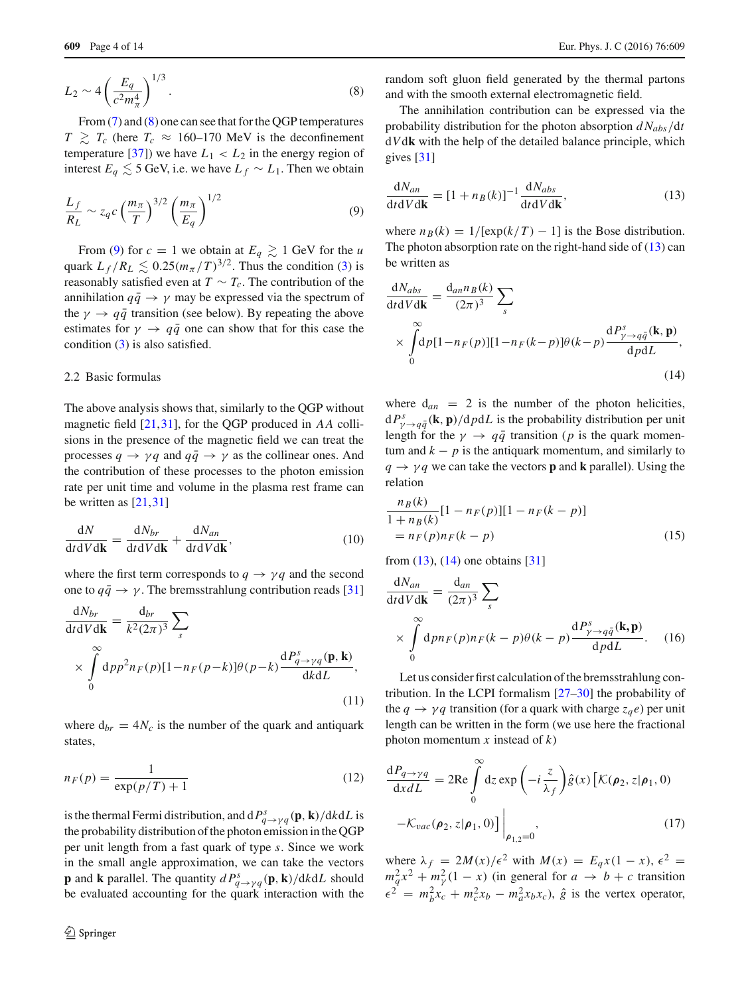<span id="page-3-0"></span>
$$
L_2 \sim 4 \left(\frac{E_q}{c^2 m_\pi^4}\right)^{1/3}.\tag{8}
$$

From [\(7\)](#page-2-6) and [\(8\)](#page-3-0) one can see that for the QGP temperatures  $T \geq T_c$  (here  $T_c \approx 160-170$  MeV is the deconfinement temperature [\[37\]](#page-12-31)) we have  $L_1 < L_2$  in the energy region of interest  $E_q \lesssim 5$  GeV, i.e. we have  $L_f \sim L_1$ . Then we obtain

$$
\frac{L_f}{R_L} \sim z_q c \left(\frac{m_\pi}{T}\right)^{3/2} \left(\frac{m_\pi}{E_q}\right)^{1/2} \tag{9}
$$

From [\(9\)](#page-3-1) for  $c = 1$  we obtain at  $E_q \ge 1$  GeV for the *u* quark  $L_f/R_L \lesssim 0.25(m_\pi/T)^{3/2}$ . Thus the condition [\(3\)](#page-2-2) is reasonably satisfied even at  $T \sim T_c$ . The contribution of the annihilation  $q\bar{q} \rightarrow \gamma$  may be expressed via the spectrum of the  $\gamma \rightarrow q\bar{q}$  transition (see below). By repeating the above estimates for  $\gamma \rightarrow q\bar{q}$  one can show that for this case the condition [\(3\)](#page-2-2) is also satisfied.

# 2.2 Basic formulas

The above analysis shows that, similarly to the QGP without magnetic field [\[21,](#page-12-14)[31\]](#page-12-22), for the QGP produced in *AA* collisions in the presence of the magnetic field we can treat the processes  $q \rightarrow \gamma q$  and  $q\bar{q} \rightarrow \gamma$  as the collinear ones. And the contribution of these processes to the photon emission rate per unit time and volume in the plasma rest frame can be written as [\[21,](#page-12-14)[31\]](#page-12-22)

<span id="page-3-5"></span>
$$
\frac{dN}{dt dV d\mathbf{k}} = \frac{dN_{br}}{dt dV d\mathbf{k}} + \frac{dN_{an}}{dt dV d\mathbf{k}},
$$
(10)

where the first term corresponds to  $q \rightarrow \gamma q$  and the second one to  $q\bar{q} \rightarrow \gamma$ . The bremsstrahlung contribution reads [\[31\]](#page-12-22)

<span id="page-3-6"></span>
$$
\frac{dN_{br}}{dt dV d\mathbf{k}} = \frac{d_{br}}{k^2 (2\pi)^3} \sum_{s}
$$
\n
$$
\times \int_{0}^{\infty} dp p^2 n_F(p) [1 - n_F(p-k)] \theta(p-k) \frac{dP_{q \to \gamma q}^s(\mathbf{p}, \mathbf{k})}{dk dL},
$$
\n(11)

<span id="page-3-8"></span>where  $d_{br} = 4N_c$  is the number of the quark and antiquark states,

$$
n_F(p) = \frac{1}{\exp(p/T) + 1} \tag{12}
$$

is the thermal Fermi distribution, and  $dP^s_q \rightarrow \gamma q$  (**p**, **k**)/d*k*d*L* is the probability distribution of the photon emission in the QGP per unit length from a fast quark of type *s*. Since we work in the small angle approximation, we can take the vectors **p** and **k** parallel. The quantity  $dP^s_{q \to \gamma q}(\mathbf{p}, \mathbf{k})/dkdL$  should be evaluated accounting for the quark interaction with the random soft gluon field generated by the thermal partons and with the smooth external electromagnetic field.

The annihilation contribution can be expressed via the probability distribution for the photon absorption *d Nabs*/d*t* d*V*d**k** with the help of the detailed balance principle, which gives [\[31\]](#page-12-22)

<span id="page-3-2"></span><span id="page-3-1"></span>
$$
\frac{dN_{an}}{dt dV d\mathbf{k}} = [1 + n_B(k)]^{-1} \frac{dN_{abs}}{dt dV d\mathbf{k}},
$$
\n(13)

where  $n_B(k) = 1/[\exp(k/T) - 1]$  is the Bose distribution. The photon absorption rate on the right-hand side of [\(13\)](#page-3-2) can be written as

<span id="page-3-3"></span>
$$
\frac{dN_{abs}}{dt dV d\mathbf{k}} = \frac{d_{an}n_B(k)}{(2\pi)^3} \sum_{s}
$$
  
 
$$
\times \int_{0}^{\infty} dp[1 - n_F(p)][1 - n_F(k-p)]\theta(k-p)\frac{dP_{\gamma \to q\bar{q}}^s(\mathbf{k}, \mathbf{p})}{dp dL},
$$
  
(14)

where  $d_{an} = 2$  is the number of the photon helicities,  $dP^s_{\gamma \to q\bar{q}}(\mathbf{k}, \mathbf{p})/dpdL$  is the probability distribution per unit length for the  $\gamma \rightarrow q\bar{q}$  transition (*p* is the quark momentum and  $k - p$  is the antiquark momentum, and similarly to  $q \rightarrow \gamma q$  we can take the vectors **p** and **k** parallel). Using the relation

$$
\frac{n_B(k)}{1 + n_B(k)} [1 - n_F(p)][1 - n_F(k - p)]
$$
  
=  $n_F(p)n_F(k - p)$  (15)

from [\(13\)](#page-3-2), [\(14\)](#page-3-3) one obtains [\[31](#page-12-22)]

<span id="page-3-7"></span>
$$
\frac{dN_{an}}{dt dV d\mathbf{k}} = \frac{d_{an}}{(2\pi)^3} \sum_{s}
$$
  
 
$$
\times \int_{0}^{\infty} dp n_F(p) n_F(k-p) \theta(k-p) \frac{dP_{\gamma \to q\bar{q}}^s(\mathbf{k}, \mathbf{p})}{dp dL}.
$$
 (16)

Let us consider first calculation of the bremsstrahlung contribution. In the LCPI formalism [\[27](#page-12-20)[–30](#page-12-21)] the probability of the  $q \rightarrow \gamma q$  transition (for a quark with charge  $z_q e$ ) per unit length can be written in the form (we use here the fractional photon momentum *x* instead of *k*)

<span id="page-3-4"></span>
$$
\frac{dP_{q \to \gamma q}}{dx dL} = 2\text{Re}\int_{0}^{\infty} dz \exp\left(-i\frac{z}{\lambda_f}\right) \hat{g}(x) \left[\mathcal{K}(\rho_2, z | \rho_1, 0) -\mathcal{K}_{vac}(\rho_2, z | \rho_1, 0)\right]\Big|_{\rho_{1,2}=0},\tag{17}
$$

where  $\lambda_f = 2M(x)/\epsilon^2$  with  $M(x) = E_q x(1-x), \epsilon^2 =$  $m_q^2 x^2 + m_\gamma^2 (1 - x)$  (in general for  $a \to b + c$  transition  $\epsilon^2 = m_b^2 x_c + m_c^2 x_b - m_a^2 x_b x_c$ ,  $\hat{g}$  is the vertex operator,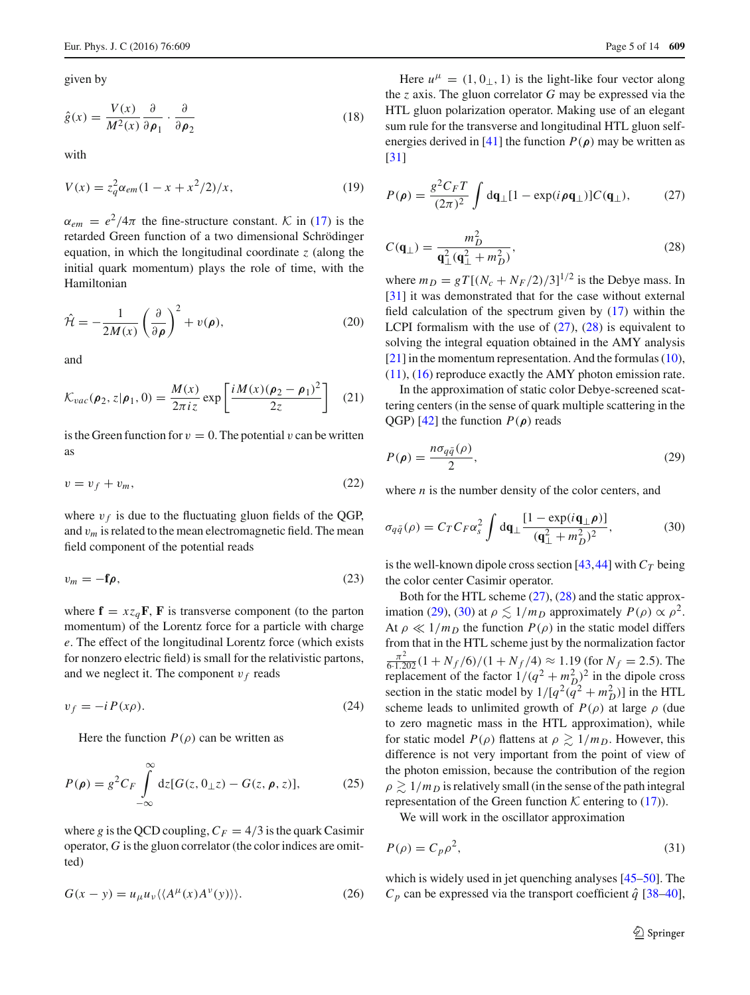given by

$$
\hat{g}(x) = \frac{V(x)}{M^2(x)} \frac{\partial}{\partial \rho_1} \cdot \frac{\partial}{\partial \rho_2}
$$
\n(18)

<span id="page-4-5"></span>with

$$
V(x) = z_q^2 \alpha_{em} (1 - x + x^2/2)/x, \qquad (19)
$$

 $\alpha_{em} = e^2/4\pi$  the fine-structure constant. *K* in [\(17\)](#page-3-4) is the retarded Green function of a two dimensional Schrödinger equation, in which the longitudinal coordinate *z* (along the initial quark momentum) plays the role of time, with the Hamiltonian

<span id="page-4-4"></span>
$$
\hat{\mathcal{H}} = -\frac{1}{2M(x)} \left(\frac{\partial}{\partial \rho}\right)^2 + v(\rho),\tag{20}
$$

and

$$
\mathcal{K}_{vac}(\boldsymbol{\rho}_2, z | \boldsymbol{\rho}_1, 0) = \frac{M(x)}{2\pi i z} \exp\left[\frac{i M(x) (\boldsymbol{\rho}_2 - \boldsymbol{\rho}_1)^2}{2z}\right] \quad (21)
$$

is the Green function for  $v = 0$ . The potential v can be written as

$$
v = v_f + v_m,\tag{22}
$$

where  $v_f$  is due to the fluctuating gluon fields of the QGP, and v*m* is related to the mean electromagnetic field. The mean field component of the potential reads

$$
v_m = -\mathbf{f}\boldsymbol{\rho},\tag{23}
$$

where  $\mathbf{f} = x z_a \mathbf{F}$ , **F** is transverse component (to the parton momentum) of the Lorentz force for a particle with charge *e*. The effect of the longitudinal Lorentz force (which exists for nonzero electric field) is small for the relativistic partons, and we neglect it. The component  $v_f$  reads

$$
v_f = -i P(x\rho). \tag{24}
$$

Here the function  $P(\rho)$  can be written as

$$
P(\rho) = g^2 C_F \int_{-\infty}^{\infty} dz [G(z, 0_{\perp}z) - G(z, \rho, z)], \qquad (25)
$$

where g is the QCD coupling,  $C_F = 4/3$  is the quark Casimir operator, *G* is the gluon correlator (the color indices are omitted)

$$
G(x - y) = u_{\mu}u_{\nu} \langle \langle A^{\mu}(x) A^{\nu}(y) \rangle \rangle.
$$
 (26)

Here  $u^{\mu} = (1, 0, 1)$  is the light-like four vector along the *z* axis. The gluon correlator *G* may be expressed via the HTL gluon polarization operator. Making use of an elegant sum rule for the transverse and longitudinal HTL gluon self-energies derived in [\[41](#page-12-32)] the function  $P(\rho)$  may be written as [\[31](#page-12-22)]

<span id="page-4-0"></span>
$$
P(\rho) = \frac{g^2 C_F T}{(2\pi)^2} \int d\mathbf{q}_{\perp} [1 - \exp(i\rho \mathbf{q}_{\perp})] C(\mathbf{q}_{\perp}), \qquad (27)
$$

<span id="page-4-1"></span>
$$
C(\mathbf{q}_{\perp}) = \frac{m_D^2}{\mathbf{q}_{\perp}^2(\mathbf{q}_{\perp}^2 + m_D^2)},
$$
\n(28)

where  $m_D = gT[(N_c + N_F/2)/3]^{1/2}$  is the Debye mass. In [\[31](#page-12-22)] it was demonstrated that for the case without external field calculation of the spectrum given by [\(17\)](#page-3-4) within the LCPI formalism with the use of  $(27)$ ,  $(28)$  is equivalent to solving the integral equation obtained in the AMY analysis  $[21]$  $[21]$  in the momentum representation. And the formulas [\(10\)](#page-3-5),  $(11)$ ,  $(16)$  reproduce exactly the AMY photon emission rate.

In the approximation of static color Debye-screened scattering centers (in the sense of quark multiple scattering in the QGP) [\[42](#page-12-33)] the function *P*(*ρ*) reads

<span id="page-4-2"></span>
$$
P(\rho) = \frac{n\sigma_{q\bar{q}}(\rho)}{2},\tag{29}
$$

<span id="page-4-3"></span>where *n* is the number density of the color centers, and

$$
\sigma_{q\bar{q}}(\rho) = C_T C_F \alpha_s^2 \int d\mathbf{q}_{\perp} \frac{[1 - \exp(i\mathbf{q}_{\perp}\rho)]}{(\mathbf{q}_{\perp}^2 + m_D^2)^2},
$$
(30)

is the well-known dipole cross section [\[43,](#page-12-34)[44\]](#page-12-35) with  $C_T$  being the color center Casimir operator.

Both for the HTL scheme [\(27\)](#page-4-0), [\(28\)](#page-4-1) and the static approx-imation [\(29\)](#page-4-2), [\(30\)](#page-4-3) at  $\rho \lesssim 1/m_D$  approximately  $P(\rho) \propto \rho^2$ . At  $\rho \ll 1/m_D$  the function  $P(\rho)$  in the static model differs from that in the HTL scheme just by the normalization factor  $\frac{\pi^2}{6 \cdot 1.202} (1 + N_f/6)/(1 + N_f/4) \approx 1.19$  (for  $N_f = 2.5$ ). The replacement of the factor  $1/(q^2 + m_D^2)^2$  in the dipole cross section in the static model by  $1/[q^2(q^2 + m_D^2)]$  in the HTL scheme leads to unlimited growth of  $P(\rho)$  at large  $\rho$  (due to zero magnetic mass in the HTL approximation), while for static model  $P(\rho)$  flattens at  $\rho \gtrsim 1/m_D$ . However, this difference is not very important from the point of view of the photon emission, because the contribution of the region  $\rho \gtrsim 1/m_D$  is relatively small (in the sense of the path integral representation of the Green function  $K$  entering to [\(17\)](#page-3-4)).

We will work in the oscillator approximation

$$
P(\rho) = C_p \rho^2,\tag{31}
$$

which is widely used in jet quenching analyses [\[45](#page-12-36)[–50\]](#page-13-0). The  $C_p$  can be expressed via the transport coefficient  $\hat{q}$  [\[38](#page-12-29)[–40](#page-12-30)],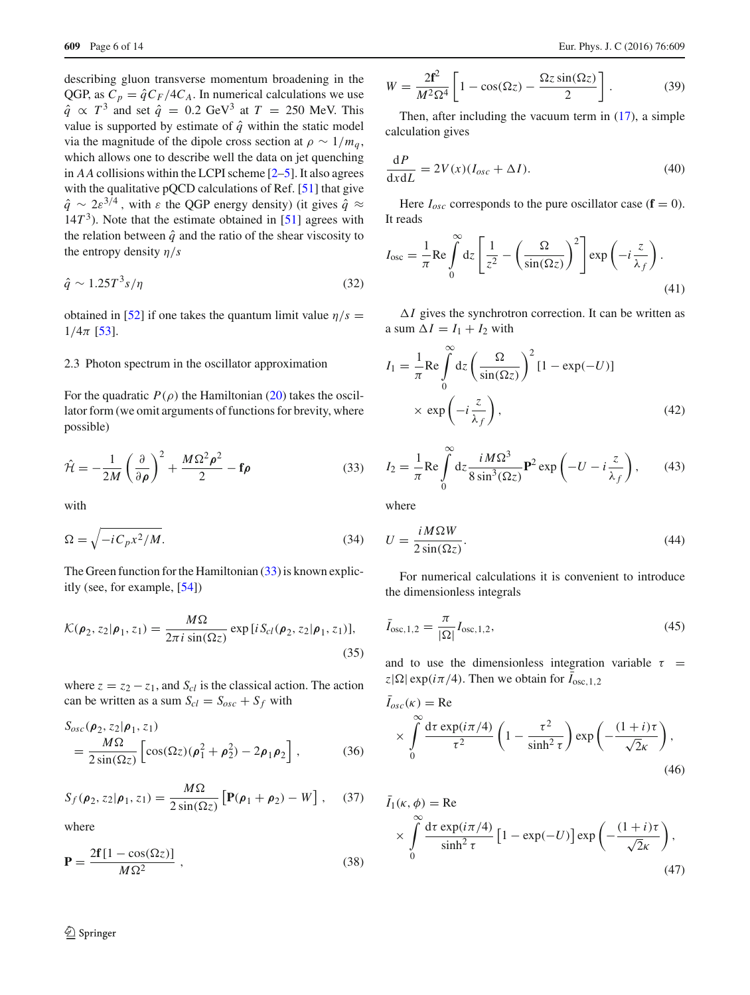describing gluon transverse momentum broadening in the QGP, as  $C_p = \hat{q}C_F/4C_A$ . In numerical calculations we use  $\hat{q} \propto T^3$  and set  $\hat{q} = 0.2$  GeV<sup>3</sup> at  $T = 250$  MeV. This value is supported by estimate of  $\hat{q}$  within the static model via the magnitude of the dipole cross section at  $\rho \sim 1/m_q$ , which allows one to describe well the data on jet quenching in *AA* collisions within the LCPI scheme [\[2](#page-12-37)[–5\]](#page-12-38). It also agrees with the qualitative pQCD calculations of Ref. [\[51\]](#page-13-1) that give  $\hat{q} \sim 2 \varepsilon^{3/4}$ , with  $\varepsilon$  the QGP energy density) (it gives  $\hat{q} \approx$  $14T<sup>3</sup>$ ). Note that the estimate obtained in [\[51](#page-13-1)] agrees with the relation between  $\hat{q}$  and the ratio of the shear viscosity to the entropy density η/*s*

$$
\hat{q} \sim 1.25T^3 s/\eta \tag{32}
$$

obtained in [\[52\]](#page-13-2) if one takes the quantum limit value  $\eta/s =$  $1/4\pi$  [\[53](#page-13-3)].

#### 2.3 Photon spectrum in the oscillator approximation

For the quadratic  $P(\rho)$  the Hamiltonian [\(20\)](#page-4-4) takes the oscillator form (we omit arguments of functions for brevity, where possible)

<span id="page-5-0"></span>
$$
\hat{\mathcal{H}} = -\frac{1}{2M} \left( \frac{\partial}{\partial \rho} \right)^2 + \frac{M \Omega^2 \rho^2}{2} - \mathbf{f} \rho \tag{33}
$$

with

$$
\Omega = \sqrt{-iC_p x^2/M}.\tag{34}
$$

The Green function for the Hamiltonian [\(33\)](#page-5-0) is known explicitly (see, for example, [\[54\]](#page-13-4))

$$
\mathcal{K}(\boldsymbol{\rho}_2, z_2 | \boldsymbol{\rho}_1, z_1) = \frac{M\Omega}{2\pi i \sin(\Omega z)} \exp[i S_{cl}(\boldsymbol{\rho}_2, z_2 | \boldsymbol{\rho}_1, z_1)],
$$
\n(35)

where  $z = z_2 - z_1$ , and  $S_{cl}$  is the classical action. The action can be written as a sum  $S_{cl} = S_{osc} + S_f$  with

$$
S_{osc}(\rho_2, z_2 | \rho_1, z_1)
$$
  
= 
$$
\frac{M\Omega}{2\sin(\Omega z)} \left[ \cos(\Omega z)(\rho_1^2 + \rho_2^2) - 2\rho_1 \rho_2 \right],
$$
 (36)

$$
S_f(\boldsymbol{\rho}_2, z_2 | \boldsymbol{\rho}_1, z_1) = \frac{M\Omega}{2\sin(\Omega z)} \left[ \mathbf{P}(\boldsymbol{\rho}_1 + \boldsymbol{\rho}_2) - W \right], \quad (37)
$$

where

$$
\mathbf{P} = \frac{2\mathbf{f}[1 - \cos(\Omega z)]}{M\Omega^2} \tag{38}
$$

$$
W = \frac{2\mathbf{f}^2}{M^2 \Omega^4} \left[ 1 - \cos(\Omega z) - \frac{\Omega z \sin(\Omega z)}{2} \right].
$$
 (39)

Then, after including the vacuum term in  $(17)$ , a simple calculation gives

$$
\frac{\mathrm{d}P}{\mathrm{d}x\mathrm{d}L} = 2V(x)(I_{osc} + \Delta I). \tag{40}
$$

Here  $I_{osc}$  corresponds to the pure oscillator case ( $\mathbf{f} = 0$ ). It reads

$$
I_{\text{osc}} = \frac{1}{\pi} \text{Re} \int_{0}^{\infty} dz \left[ \frac{1}{z^2} - \left( \frac{\Omega}{\sin(\Omega z)} \right)^2 \right] \exp\left( -i \frac{z}{\lambda_f} \right). \tag{41}
$$

 $\Delta I$  gives the synchrotron correction. It can be written as a sum  $\Delta I = I_1 + I_2$  with

<span id="page-5-2"></span>
$$
I_1 = \frac{1}{\pi} \text{Re} \int_0^\infty dz \left( \frac{\Omega}{\sin(\Omega z)} \right)^2 [1 - \exp(-U)]
$$
  
  $\times \exp\left( -i \frac{z}{\lambda_f} \right),$  (42)

<span id="page-5-3"></span>
$$
I_2 = \frac{1}{\pi} \text{Re} \int_0^\infty dz \frac{i M \Omega^3}{8 \sin^3(\Omega z)} \mathbf{P}^2 \exp\left(-U - i \frac{z}{\lambda_f}\right),\qquad(43)
$$

where

$$
U = \frac{iM\Omega W}{2\sin(\Omega z)}.\tag{44}
$$

For numerical calculations it is convenient to introduce the dimensionless integrals

$$
\bar{I}_{\text{osc},1,2} = \frac{\pi}{|\Omega|} I_{\text{osc},1,2},\tag{45}
$$

and to use the dimensionless integration variable  $\tau$  = *z*| $\Omega$ | exp( $i\pi/4$ ). Then we obtain for  $I_{\text{osc},1,2}$ 

<span id="page-5-1"></span>
$$
\bar{I}_{osc}(\kappa) = \text{Re}
$$
\n
$$
\times \int_{0}^{\infty} \frac{d\tau \exp(i\pi/4)}{\tau^2} \left(1 - \frac{\tau^2}{\sinh^2 \tau}\right) \exp\left(-\frac{(1+i)\tau}{\sqrt{2}\kappa}\right),
$$
\n(46)

$$
\bar{I}_1(\kappa, \phi) = \text{Re}
$$
  
 
$$
\times \int_{0}^{\infty} \frac{d\tau \exp(i\pi/4)}{\sinh^2 \tau} \left[1 - \exp(-U)\right] \exp\left(-\frac{(1+i)\tau}{\sqrt{2}\kappa}\right),
$$
 (47)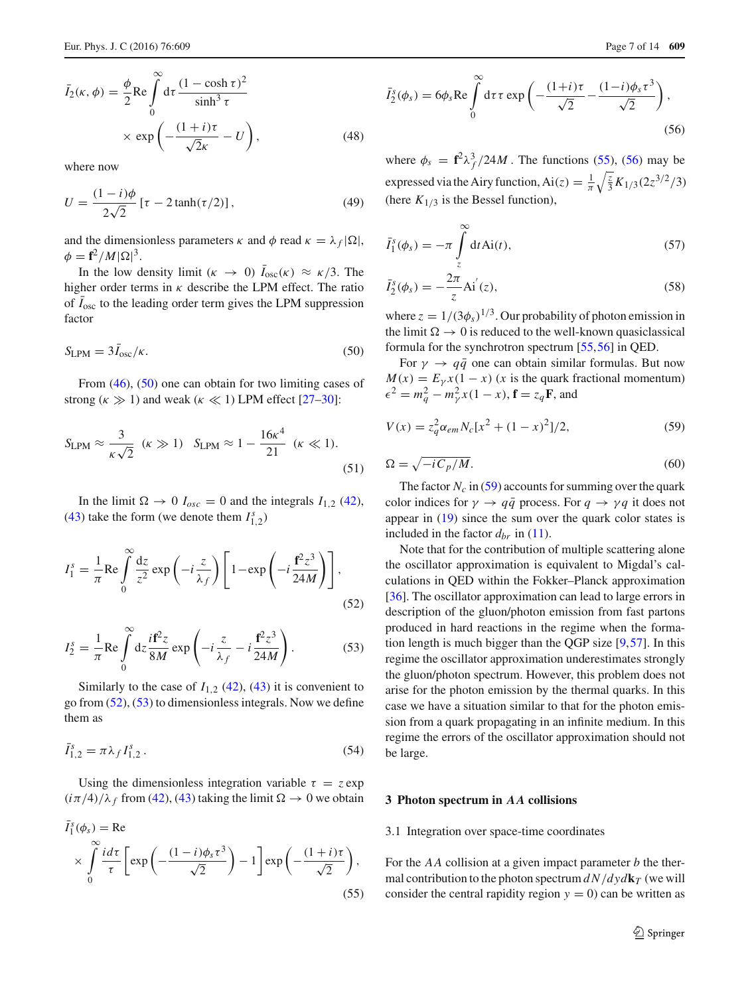$$
\bar{I}_2(\kappa, \phi) = \frac{\phi}{2} \text{Re} \int_0^\infty d\tau \, \frac{(1 - \cosh \tau)^2}{\sinh^3 \tau} \times \exp\left(-\frac{(1 + i)\tau}{\sqrt{2}\kappa} - U\right),\tag{48}
$$

where now

$$
U = \frac{(1 - i)\phi}{2\sqrt{2}} \left[ \tau - 2\tanh(\tau/2) \right],\tag{49}
$$

and the dimensionless parameters  $\kappa$  and  $\phi$  read  $\kappa = \lambda_f |\Omega|$ ,  $\phi = \mathbf{f}^2 / M |\Omega|^3.$ 

In the low density limit ( $\kappa \to 0$ )  $\bar{I}_{osc}(\kappa) \approx \kappa/3$ . The higher order terms in  $\kappa$  describe the LPM effect. The ratio of  $\bar{I}_{osc}$  to the leading order term gives the LPM suppression factor

<span id="page-6-2"></span>
$$
S_{\text{LPM}} = 3\bar{I}_{\text{osc}}/\kappa. \tag{50}
$$

From [\(46\)](#page-5-1), [\(50\)](#page-6-2) one can obtain for two limiting cases of strong ( $\kappa \gg 1$ ) and weak ( $\kappa \ll 1$ ) LPM effect [\[27](#page-12-20)[–30](#page-12-21)]:

$$
S_{\text{LPM}} \approx \frac{3}{\kappa\sqrt{2}} \quad (\kappa \gg 1) \quad S_{\text{LPM}} \approx 1 - \frac{16\kappa^4}{21} \quad (\kappa \ll 1). \tag{51}
$$

In the limit  $\Omega \to 0$   $I_{osc} = 0$  and the integrals  $I_{1,2}$  [\(42\)](#page-5-2), [\(43\)](#page-5-3) take the form (we denote them  $I_{1,2}^s$ )

$$
I_1^s = \frac{1}{\pi} \text{Re} \int_0^\infty \frac{dz}{z^2} \exp\left(-i\frac{z}{\lambda_f}\right) \left[1 - \exp\left(-i\frac{\mathbf{f}^2 z^3}{24M}\right)\right],\tag{52}
$$

<span id="page-6-4"></span>
$$
I_2^s = \frac{1}{\pi} \text{Re} \int_0^\infty dz \frac{i\mathbf{f}^2 z}{8M} \exp\left(-i\frac{z}{\lambda_f} - i\frac{\mathbf{f}^2 z^3}{24M}\right).
$$
 (53)

Similarly to the case of  $I_{1,2}$  [\(42\)](#page-5-2), [\(43\)](#page-5-3) it is convenient to go from  $(52)$ ,  $(53)$  to dimensionless integrals. Now we define them as

$$
\bar{I}_{1,2}^s = \pi \lambda_f I_{1,2}^s \,. \tag{54}
$$

Using the dimensionless integration variable  $\tau = z \exp(z)$  $(i\pi/4)/\lambda_f$  from [\(42\)](#page-5-2), [\(43\)](#page-5-3) taking the limit  $\Omega \to 0$  we obtain

<span id="page-6-5"></span>
$$
\bar{I}_{1}^{s}(\phi_{s}) = \text{Re}
$$
\n
$$
\times \int_{0}^{\infty} \frac{i d\tau}{\tau} \left[ \exp\left(-\frac{(1-i)\phi_{s}\tau^{3}}{\sqrt{2}}\right) - 1 \right] \exp\left(-\frac{(1+i)\tau}{\sqrt{2}}\right),
$$
\n(55)

<span id="page-6-6"></span>
$$
\bar{I}_2^s(\phi_s) = 6\phi_s \operatorname{Re} \int_0^\infty d\tau \,\tau \exp\left(-\frac{(1+i)\tau}{\sqrt{2}} - \frac{(1-i)\phi_s \tau^3}{\sqrt{2}}\right),\tag{56}
$$

where  $\phi_s = \mathbf{f}^2 \lambda_f^3 / 24M$ . The functions [\(55\)](#page-6-5), [\(56\)](#page-6-6) may be expressed via the Airy function, Ai(*z*) =  $\frac{1}{\pi} \sqrt{\frac{z}{3}} K_{1/3} (2z^{3/2}/3)$ (here  $K_{1/3}$  is the Bessel function),

$$
\bar{I}_1^s(\phi_s) = -\pi \int\limits_z^\infty dt \, Ai(t), \tag{57}
$$

$$
\bar{I}_2^s(\phi_s) = -\frac{2\pi}{z} Ai^{'}(z), \qquad (58)
$$

where  $z = 1/(3\phi_s)^{1/3}$ . Our probability of photon emission in the limit  $\Omega \rightarrow 0$  is reduced to the well-known quasiclassical formula for the synchrotron spectrum [\[55](#page-13-5),[56\]](#page-13-6) in QED.

For  $\gamma \rightarrow q\bar{q}$  one can obtain similar formulas. But now  $M(x) = E<sub>y</sub>x(1-x)$  (*x* is the quark fractional momentum)  $\epsilon^2 = m_q^2 - m_\gamma^2 x (1 - x), \mathbf{f} = z_q \mathbf{F}$ , and

<span id="page-6-7"></span><span id="page-6-1"></span>
$$
V(x) = z_q^2 \alpha_{em} N_c [x^2 + (1 - x)^2]/2,
$$
 (59)

$$
\Omega = \sqrt{-iC_p/M}.\tag{60}
$$

<span id="page-6-3"></span>The factor  $N_c$  in [\(59\)](#page-6-7) accounts for summing over the quark color indices for  $\gamma \rightarrow q\bar{q}$  process. For  $q \rightarrow \gamma q$  it does not appear in [\(19\)](#page-4-5) since the sum over the quark color states is included in the factor  $d_{br}$  in [\(11\)](#page-3-6).

Note that for the contribution of multiple scattering alone the oscillator approximation is equivalent to Migdal's calculations in QED within the Fokker–Planck approximation [\[36](#page-12-28)]. The oscillator approximation can lead to large errors in description of the gluon/photon emission from fast partons produced in hard reactions in the regime when the formation length is much bigger than the QGP size [\[9](#page-12-3),[57\]](#page-13-7). In this regime the oscillator approximation underestimates strongly the gluon/photon spectrum. However, this problem does not arise for the photon emission by the thermal quarks. In this case we have a situation similar to that for the photon emission from a quark propagating in an infinite medium. In this regime the errors of the oscillator approximation should not be large.

#### <span id="page-6-0"></span>**3 Photon spectrum in** *AA* **collisions**

#### 3.1 Integration over space-time coordinates

<span id="page-6-8"></span>For the *AA* collision at a given impact parameter *b* the thermal contribution to the photon spectrum  $dN/dy d\mathbf{k}_T$  (we will consider the central rapidity region  $y = 0$  can be written as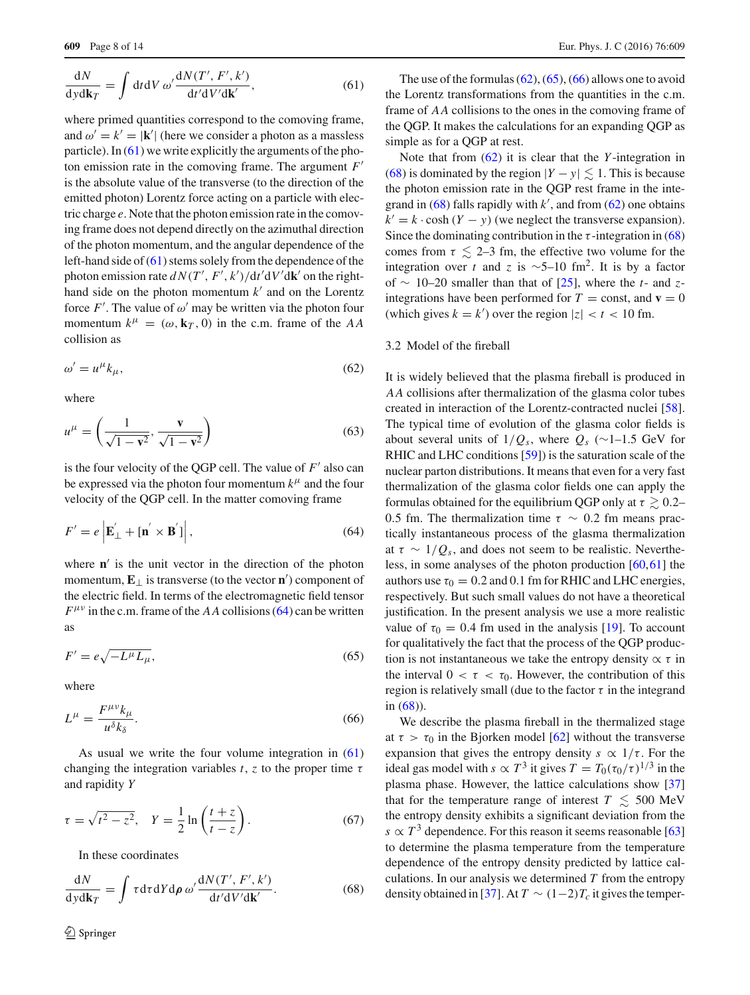$$
\frac{dN}{dydk_T} = \int dt dV \, \omega' \frac{dN(T', F', k')}{dt'dV'dk'},\tag{61}
$$

where primed quantities correspond to the comoving frame, and  $\omega' = k' = |\mathbf{k}'|$  (here we consider a photon as a massless particle). In  $(61)$  we write explicitly the arguments of the photon emission rate in the comoving frame. The argument *F* is the absolute value of the transverse (to the direction of the emitted photon) Lorentz force acting on a particle with electric charge *e*. Note that the photon emission rate in the comoving frame does not depend directly on the azimuthal direction of the photon momentum, and the angular dependence of the left-hand side of [\(61\)](#page-6-8) stems solely from the dependence of the photon emission rate  $dN(T', F', k') / dt' dV' d\mathbf{k}'$  on the righthand side on the photon momentum  $k'$  and on the Lorentz force  $F'$ . The value of  $\omega'$  may be written via the photon four momentum  $k^{\mu} = (\omega, \mathbf{k}_T, 0)$  in the c.m. frame of the AA collision as

<span id="page-7-1"></span>
$$
\omega' = u^{\mu} k_{\mu},\tag{62}
$$

where

$$
u^{\mu} = \left(\frac{1}{\sqrt{1 - \mathbf{v}^2}}, \frac{\mathbf{v}}{\sqrt{1 - \mathbf{v}^2}}\right)
$$
(63)

is the four velocity of the QGP cell. The value of  $F'$  also can be expressed via the photon four momentum  $k^{\mu}$  and the four velocity of the QGP cell. In the matter comoving frame

$$
F' = e \left| \mathbf{E}'_{\perp} + [\mathbf{n}' \times \mathbf{B}'] \right|,\tag{64}
$$

where  $\mathbf{n}'$  is the unit vector in the direction of the photon momentum,  $\mathbf{E}_{\perp}$  is transverse (to the vector **n**') component of the electric field. In terms of the electromagnetic field tensor  $F^{\mu\nu}$  in the c.m. frame of the *AA* collisions [\(64\)](#page-7-0) can be written as

<span id="page-7-2"></span>
$$
F' = e\sqrt{-L^{\mu}L_{\mu}},\tag{65}
$$

<span id="page-7-3"></span>where

$$
L^{\mu} = \frac{F^{\mu\nu}k_{\mu}}{u^{\delta}k_{\delta}}.
$$
\n<sup>(66)</sup>

As usual we write the four volume integration in [\(61\)](#page-6-8) changing the integration variables  $t$ ,  $z$  to the proper time  $\tau$ and rapidity *Y*

$$
\tau = \sqrt{t^2 - z^2}, \quad Y = \frac{1}{2} \ln \left( \frac{t+z}{t-z} \right). \tag{67}
$$

<span id="page-7-4"></span>In these coordinates

$$
\frac{dN}{dydk_T} = \int \tau d\tau dY d\rho \, \omega' \frac{dN(T', F', k')}{dt'dV'dk'}.\tag{68}
$$

The use of the formulas  $(62)$ ,  $(65)$ ,  $(66)$  allows one to avoid the Lorentz transformations from the quantities in the c.m. frame of *AA* collisions to the ones in the comoving frame of the QGP. It makes the calculations for an expanding QGP as simple as for a QGP at rest.

Note that from [\(62\)](#page-7-1) it is clear that the *Y* -integration in [\(68\)](#page-7-4) is dominated by the region  $|Y - y| \lesssim 1$ . This is because the photon emission rate in the QGP rest frame in the integrand in  $(68)$  falls rapidly with  $k'$ , and from  $(62)$  one obtains  $k' = k \cdot \cosh(Y - y)$  (we neglect the transverse expansion). Since the dominating contribution in the  $\tau$ -integration in [\(68\)](#page-7-4) comes from  $\tau \leq 2-3$  fm, the effective two volume for the integration over *t* and *z* is ~5–10 fm<sup>2</sup>. It is by a factor of ∼ 10–20 smaller than that of [\[25](#page-12-18)], where the *t*- and *z*integrations have been performed for  $T = \text{const}$ , and  $\mathbf{v} = 0$ (which gives  $k = k'$ ) over the region  $|z| < t < 10$  fm.

## 3.2 Model of the fireball

<span id="page-7-0"></span>It is widely believed that the plasma fireball is produced in *AA* collisions after thermalization of the glasma color tubes created in interaction of the Lorentz-contracted nuclei [\[58](#page-13-8)]. The typical time of evolution of the glasma color fields is about several units of  $1/Q_s$ , where  $Q_s$  (∼1–1.5 GeV for RHIC and LHC conditions [\[59](#page-13-9)]) is the saturation scale of the nuclear parton distributions. It means that even for a very fast thermalization of the glasma color fields one can apply the formulas obtained for the equilibrium QGP only at  $\tau \gtrsim 0.2$ – 0.5 fm. The thermalization time  $\tau \sim 0.2$  fm means practically instantaneous process of the glasma thermalization at  $\tau \sim 1/Q_s$ , and does not seem to be realistic. Nevertheless, in some analyses of the photon production [\[60](#page-13-10)[,61](#page-13-11)] the authors use  $\tau_0 = 0.2$  and 0.1 fm for RHIC and LHC energies, respectively. But such small values do not have a theoretical justification. In the present analysis we use a more realistic value of  $\tau_0 = 0.4$  fm used in the analysis [\[19](#page-12-12)]. To account for qualitatively the fact that the process of the QGP production is not instantaneous we take the entropy density  $\alpha \tau$  in the interval  $0 < \tau < \tau_0$ . However, the contribution of this region is relatively small (due to the factor  $\tau$  in the integrand in [\(68\)](#page-7-4)).

We describe the plasma fireball in the thermalized stage at  $\tau > \tau_0$  in the Bjorken model [\[62](#page-13-12)] without the transverse expansion that gives the entropy density  $s \propto 1/\tau$ . For the ideal gas model with  $s \propto T^3$  it gives  $T = T_0(\tau_0/\tau)^{1/3}$  in the plasma phase. However, the lattice calculations show [\[37\]](#page-12-31) that for the temperature range of interest  $T \leq 500$  MeV the entropy density exhibits a significant deviation from the  $s \propto T^3$  dependence. For this reason it seems reasonable [\[63\]](#page-13-13) to determine the plasma temperature from the temperature dependence of the entropy density predicted by lattice calculations. In our analysis we determined *T* from the entropy density obtained in [\[37\]](#page-12-31). At  $T \sim (1-2)T_c$  it gives the temper-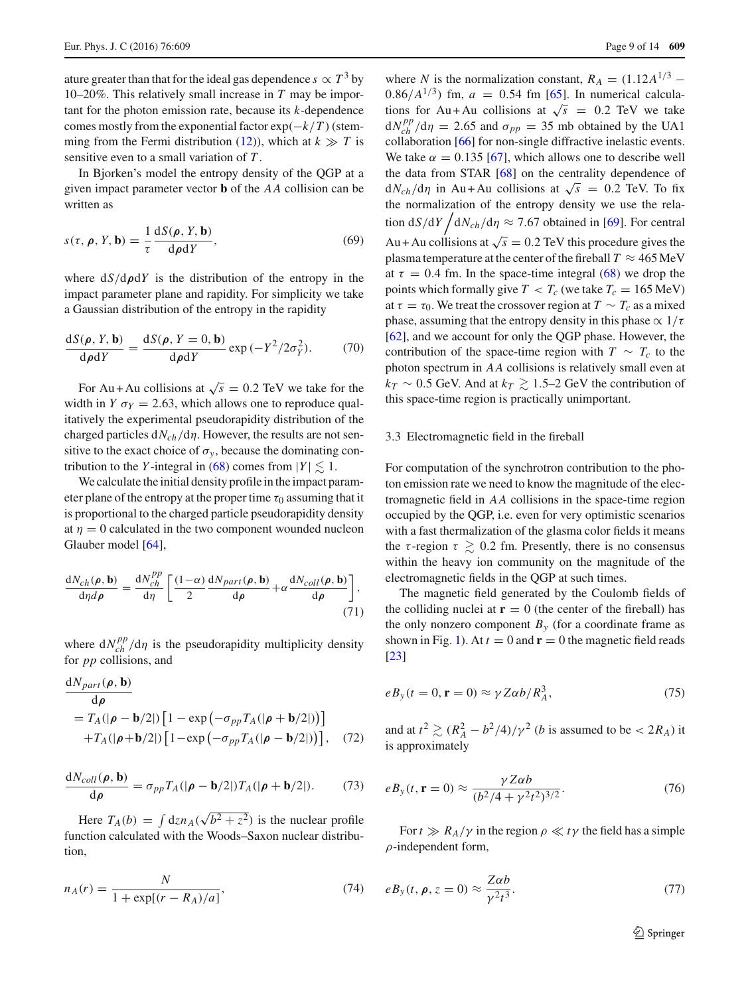ature greater than that for the ideal gas dependence  $s \propto T^3$  by 10–20%. This relatively small increase in *T* may be important for the photon emission rate, because its *k*-dependence comes mostly from the exponential factor  $exp(-k/T)$  (stem-ming from the Fermi distribution [\(12\)](#page-3-8)), which at  $k \gg T$  is sensitive even to a small variation of *T* .

In Bjorken's model the entropy density of the QGP at a given impact parameter vector **b** of the *AA* collision can be written as

$$
s(\tau, \rho, Y, \mathbf{b}) = \frac{1}{\tau} \frac{dS(\rho, Y, \mathbf{b})}{d\rho dY},
$$
\n(69)

where  $dS/d\rho dY$  is the distribution of the entropy in the impact parameter plane and rapidity. For simplicity we take a Gaussian distribution of the entropy in the rapidity

$$
\frac{\mathrm{d}S(\rho, Y, \mathbf{b})}{\mathrm{d}\rho \mathrm{d}Y} = \frac{\mathrm{d}S(\rho, Y = 0, \mathbf{b})}{\mathrm{d}\rho \mathrm{d}Y} \exp\left(-Y^2/2\sigma_Y^2\right). \tag{70}
$$

For Au + Au collisions at  $\sqrt{s} = 0.2$  TeV we take for the width in *Y*  $\sigma_Y$  = 2.63, which allows one to reproduce qualitatively the experimental pseudorapidity distribution of the charged particles d*Nch*/dη. However, the results are not sensitive to the exact choice of  $\sigma_y$ , because the dominating contribution to the *Y*-integral in [\(68\)](#page-7-4) comes from  $|Y| \lesssim 1$ .

We calculate the initial density profile in the impact parameter plane of the entropy at the proper time  $\tau_0$  assuming that it is proportional to the charged particle pseudorapidity density at  $\eta = 0$  calculated in the two component wounded nucleon Glauber model [\[64](#page-13-14)],

$$
\frac{dN_{ch}(\rho, \mathbf{b})}{d\eta d\rho} = \frac{dN_{ch}^{PP}}{d\eta} \left[ \frac{(1-\alpha)}{2} \frac{dN_{part}(\rho, \mathbf{b})}{d\rho} + \alpha \frac{dN_{coll}(\rho, \mathbf{b})}{d\rho} \right],
$$
\n(71)

where  $dN_{ch}^{pp}/d\eta$  is the pseudorapidity multiplicity density for *pp* collisions, and

$$
\frac{dN_{part}(\rho, \mathbf{b})}{d\rho}
$$
\n
$$
= T_A(|\rho - \mathbf{b}/2|) \left[1 - \exp\left(-\sigma_{pp} T_A(|\rho + \mathbf{b}/2|)\right)\right]
$$
\n
$$
+ T_A(|\rho + \mathbf{b}/2|) \left[1 - \exp\left(-\sigma_{pp} T_A(|\rho - \mathbf{b}/2|)\right)\right], \quad (72)
$$

$$
\frac{dN_{coll}(\rho, \mathbf{b})}{d\rho} = \sigma_{pp} T_A(|\rho - \mathbf{b}/2|) T_A(|\rho + \mathbf{b}/2|). \tag{73}
$$

Here  $T_A(b) = \int dz n_A(\sqrt{b^2 + z^2})$  is the nuclear profile function calculated with the Woods–Saxon nuclear distribution,

$$
n_A(r) = \frac{N}{1 + \exp[(r - R_A)/a]},
$$
\n(74)

where *N* is the normalization constant,  $R_A = (1.12A^{1/3} -$ 0.86/ $A^{1/3}$ ) fm,  $a = 0.54$  fm [\[65\]](#page-13-15). In numerical calculations for Au + Au collisions at  $\sqrt{s}$  = 0.2 TeV we take  $dN_{ch}^{pp}/d\eta = 2.65$  and  $\sigma_{pp} = 35$  mb obtained by the UA1 collaboration [\[66](#page-13-16)] for non-single diffractive inelastic events. We take  $\alpha = 0.135$  [\[67\]](#page-13-17), which allows one to describe well the data from STAR [\[68](#page-13-18)] on the centrality dependence of  $dN_{ch}/d\eta$  in Au + Au collisions at  $\sqrt{s}$  = 0.2 TeV. To fix the normalization of the entropy density we use the relation  $dS/dY/dN_{ch}/d\eta \approx 7.67$  obtained in [\[69](#page-13-19)]. For central Au + Au collisions at  $\sqrt{s} = 0.2$  TeV this procedure gives the plasma temperature at the center of the fireball  $T \approx 465 \text{ MeV}$ at  $\tau = 0.4$  fm. In the space-time integral [\(68\)](#page-7-4) we drop the points which formally give  $T < T_c$  (we take  $T_c = 165$  MeV) at  $\tau = \tau_0$ . We treat the crossover region at  $T \sim T_c$  as a mixed phase, assuming that the entropy density in this phase  $\alpha$  1/ $\tau$ [\[62](#page-13-12)], and we account for only the QGP phase. However, the contribution of the space-time region with  $T \sim T_c$  to the photon spectrum in *AA* collisions is relatively small even at  $k_T \sim 0.5$  GeV. And at  $k_T \gtrsim 1.5$ –2 GeV the contribution of this space-time region is practically unimportant.

#### 3.3 Electromagnetic field in the fireball

For computation of the synchrotron contribution to the photon emission rate we need to know the magnitude of the electromagnetic field in *AA* collisions in the space-time region occupied by the QGP, i.e. even for very optimistic scenarios with a fast thermalization of the glasma color fields it means the  $\tau$ -region  $\tau \geq 0.2$  fm. Presently, there is no consensus within the heavy ion community on the magnitude of the electromagnetic fields in the QGP at such times.

The magnetic field generated by the Coulomb fields of the colliding nuclei at  $\mathbf{r} = 0$  (the center of the fireball) has the only nonzero component  $B_y$  (for a coordinate frame as shown in Fig. [1\)](#page-1-0). At  $t = 0$  and  $\mathbf{r} = 0$  the magnetic field reads [\[23](#page-12-16)]

<span id="page-8-1"></span>
$$
eB_y(t=0, \mathbf{r}=0) \approx \gamma Z \alpha b / R_A^3,\tag{75}
$$

and at  $t^2 \gtrsim (R_A^2 - b^2/4)/\gamma^2$  (*b* is assumed to be < 2*R<sub>A</sub>*) it is approximately

$$
eB_{y}(t, \mathbf{r} = 0) \approx \frac{\gamma Z \alpha b}{(b^2/4 + \gamma^2 t^2)^{3/2}}.
$$
 (76)

<span id="page-8-0"></span>For  $t \gg R_A/\gamma$  in the region  $\rho \ll t\gamma$  the field has a simple  $\rho$ -independent form,

$$
eB_y(t, \rho, z = 0) \approx \frac{Z\alpha b}{\gamma^2 t^3}.
$$
 (77)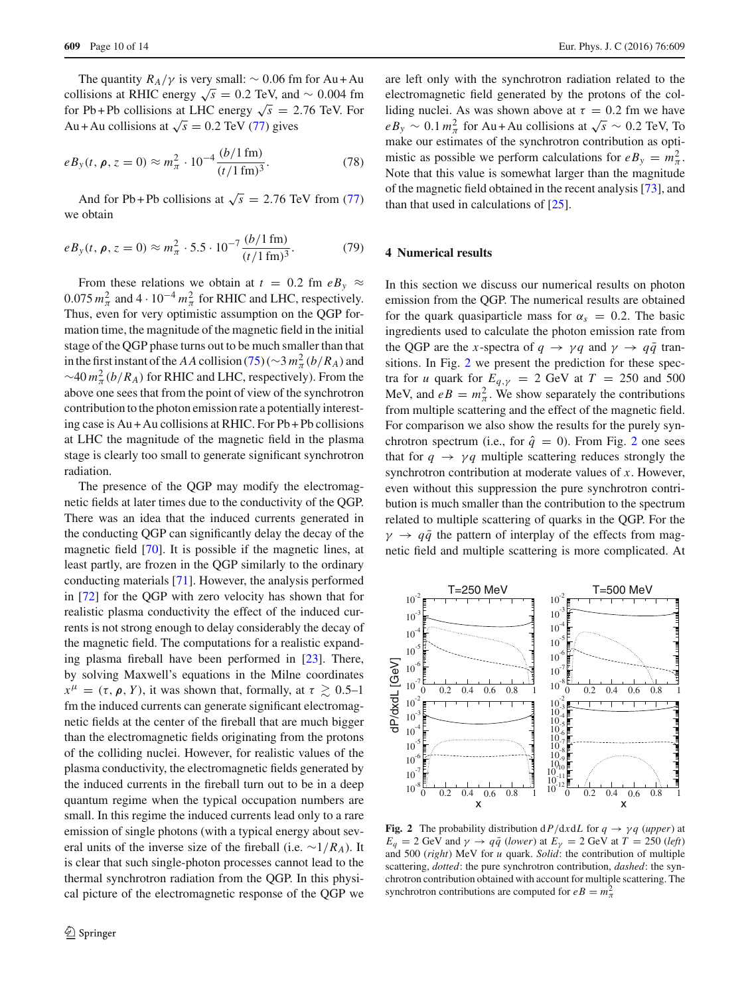The quantity  $R_A/\gamma$  is very small:  $\sim 0.06$  fm for Au + Au collisions at RHIC energy  $\sqrt{s}$  = 0.2 TeV, and ~ 0.004 fm for Pb + Pb collisions at LHC energy  $\sqrt{s}$  = 2.76 TeV. For Au + Au collisions at  $\sqrt{s} = 0.2$  TeV [\(77\)](#page-8-0) gives

$$
eB_y(t, \rho, z = 0) \approx m_\pi^2 \cdot 10^{-4} \frac{(b/1 \,\text{fm})}{(t/1 \,\text{fm})^3}.
$$
 (78)

And for Pb + Pb collisions at  $\sqrt{s}$  = 2.76 TeV from [\(77\)](#page-8-0) we obtain

$$
eB_y(t, \rho, z = 0) \approx m_\pi^2 \cdot 5.5 \cdot 10^{-7} \frac{(b/1 \,\text{fm})}{(t/1 \,\text{fm})^3}.
$$
 (79)

From these relations we obtain at  $t = 0.2$  fm  $eB_y \approx$  $0.075 \, m_{\pi}^2$  and  $4 \cdot 10^{-4} \, m_{\pi}^2$  for RHIC and LHC, respectively. Thus, even for very optimistic assumption on the QGP formation time, the magnitude of the magnetic field in the initial stage of the QGP phase turns out to be much smaller than that in the first instant of the *AA* collision [\(75\)](#page-8-1) (∼3  $m_{\pi}^2 (b/R_A)$  and  $\sim$ 40  $m_{\pi}^2(b/R_A)$  for RHIC and LHC, respectively). From the above one sees that from the point of view of the synchrotron contribution to the photon emission rate a potentially interesting case is Au + Au collisions at RHIC. For Pb + Pb collisions at LHC the magnitude of the magnetic field in the plasma stage is clearly too small to generate significant synchrotron radiation.

The presence of the QGP may modify the electromagnetic fields at later times due to the conductivity of the QGP. There was an idea that the induced currents generated in the conducting QGP can significantly delay the decay of the magnetic field [\[70\]](#page-13-20). It is possible if the magnetic lines, at least partly, are frozen in the QGP similarly to the ordinary conducting materials [\[71\]](#page-13-21). However, the analysis performed in [\[72](#page-13-22)] for the QGP with zero velocity has shown that for realistic plasma conductivity the effect of the induced currents is not strong enough to delay considerably the decay of the magnetic field. The computations for a realistic expanding plasma fireball have been performed in [\[23\]](#page-12-16). There, by solving Maxwell's equations in the Milne coordinates  $x^{\mu} = (\tau, \rho, Y)$ , it was shown that, formally, at  $\tau \gtrsim 0.5{\text -}1$ fm the induced currents can generate significant electromagnetic fields at the center of the fireball that are much bigger than the electromagnetic fields originating from the protons of the colliding nuclei. However, for realistic values of the plasma conductivity, the electromagnetic fields generated by the induced currents in the fireball turn out to be in a deep quantum regime when the typical occupation numbers are small. In this regime the induced currents lead only to a rare emission of single photons (with a typical energy about several units of the inverse size of the fireball (i.e. ∼1/*RA*). It is clear that such single-photon processes cannot lead to the thermal synchrotron radiation from the QGP. In this physical picture of the electromagnetic response of the QGP we

are left only with the synchrotron radiation related to the electromagnetic field generated by the protons of the colliding nuclei. As was shown above at  $\tau = 0.2$  fm we have  $eB_y \sim 0.1 \, m_\pi^2$  for Au + Au collisions at  $\sqrt{s} \sim 0.2$  TeV, To make our estimates of the synchrotron contribution as optimistic as possible we perform calculations for  $eB_y = m_\pi^2$ . Note that this value is somewhat larger than the magnitude of the magnetic field obtained in the recent analysis [\[73](#page-13-23)], and than that used in calculations of [\[25](#page-12-18)].

# <span id="page-9-0"></span>**4 Numerical results**

In this section we discuss our numerical results on photon emission from the QGP. The numerical results are obtained for the quark quasiparticle mass for  $\alpha_s = 0.2$ . The basic ingredients used to calculate the photon emission rate from the QGP are the *x*-spectra of  $q \rightarrow \gamma q$  and  $\gamma \rightarrow q\bar{q}$  transitions. In Fig. [2](#page-9-1) we present the prediction for these spectra for *u* quark for  $E_{q,y} = 2$  GeV at  $T = 250$  and 500 MeV, and  $eB = m_{\pi}^2$ . We show separately the contributions from multiple scattering and the effect of the magnetic field. For comparison we also show the results for the purely synchrotron spectrum (i.e., for  $\hat{q} = 0$ ). From Fig. [2](#page-9-1) one sees that for  $q \rightarrow \gamma q$  multiple scattering reduces strongly the synchrotron contribution at moderate values of *x*. However, even without this suppression the pure synchrotron contribution is much smaller than the contribution to the spectrum related to multiple scattering of quarks in the QGP. For the  $\gamma \rightarrow q\bar{q}$  the pattern of interplay of the effects from magnetic field and multiple scattering is more complicated. At



<span id="page-9-1"></span>**Fig. 2** The probability distribution  $dP/dxdL$  for  $q \rightarrow \gamma q$  (*upper*) at  $E_q = 2$  GeV and  $\gamma \rightarrow q\bar{q}$  (*lower*) at  $E_\gamma = 2$  GeV at  $T = 250$  (*left*) and 500 (*right*) MeV for *u* quark. *Solid*: the contribution of multiple scattering, *dotted*: the pure synchrotron contribution, *dashed*: the synchrotron contribution obtained with account for multiple scattering. The synchrotron contributions are computed for  $eB = m_{\pi}^2$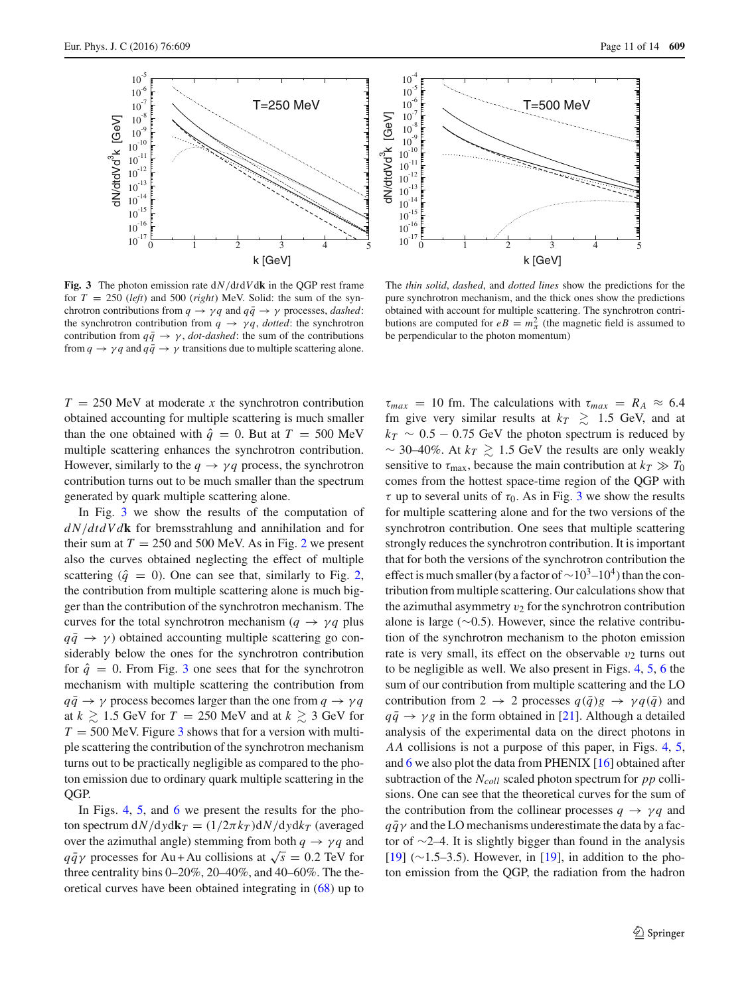



<span id="page-10-0"></span>**Fig. 3** The photon emission rate d*N*/d*t*d*V*d**k** in the QGP rest frame for  $T = 250$  (*left*) and 500 (*right*) MeV. Solid: the sum of the synchrotron contributions from  $q \rightarrow \gamma q$  and  $q\bar{q} \rightarrow \gamma$  processes, *dashed*: the synchrotron contribution from  $q \rightarrow \gamma q$ , *dotted*: the synchrotron contribution from  $q\bar{q} \rightarrow \gamma$ , *dot-dashed*: the sum of the contributions from  $q \rightarrow \gamma q$  and  $q\bar{q} \rightarrow \gamma$  transitions due to multiple scattering alone.

The *thin solid*, *dashed*, and *dotted lines* show the predictions for the pure synchrotron mechanism, and the thick ones show the predictions obtained with account for multiple scattering. The synchrotron contributions are computed for  $eB = m_{\pi}^2$  (the magnetic field is assumed to be perpendicular to the photon momentum)

 $T = 250$  MeV at moderate *x* the synchrotron contribution obtained accounting for multiple scattering is much smaller than the one obtained with  $\hat{q} = 0$ . But at  $T = 500$  MeV multiple scattering enhances the synchrotron contribution. However, similarly to the  $q \rightarrow \gamma q$  process, the synchrotron contribution turns out to be much smaller than the spectrum generated by quark multiple scattering alone.

In Fig. [3](#page-10-0) we show the results of the computation of *d N*/*dtdVd***k** for bremsstrahlung and annihilation and for their sum at  $T = 250$  $T = 250$  $T = 250$  and 500 MeV. As in Fig. 2 we present also the curves obtained neglecting the effect of multiple scattering  $(\hat{q} = 0)$ . One can see that, similarly to Fig. [2,](#page-9-1) the contribution from multiple scattering alone is much bigger than the contribution of the synchrotron mechanism. The curves for the total synchrotron mechanism ( $q \rightarrow \gamma q$  plus  $q\bar{q} \rightarrow \gamma$ ) obtained accounting multiple scattering go considerably below the ones for the synchrotron contribution for  $\hat{q} = 0$ . From Fig. [3](#page-10-0) one sees that for the synchrotron mechanism with multiple scattering the contribution from  $q\bar{q} \rightarrow \gamma$  process becomes larger than the one from  $q \rightarrow \gamma q$ at  $k \ge 1.5$  GeV for  $T = 250$  MeV and at  $k \ge 3$  GeV for  $T = 500$  MeV. Figure [3](#page-10-0) shows that for a version with multiple scattering the contribution of the synchrotron mechanism turns out to be practically negligible as compared to the photon emission due to ordinary quark multiple scattering in the QGP.

In Figs. [4,](#page-11-0) [5,](#page-11-1) and [6](#page-11-2) we present the results for the photon spectrum  $dN/dydk_T = (1/2\pi k_T)dN/dydk_T$  (averaged over the azimuthal angle) stemming from both  $q \rightarrow \gamma q$  and *q* $\bar{q}\gamma$  processes for Au + Au collisions at  $\sqrt{s} = 0.2$  TeV for three centrality bins 0–20%, 20–40%, and 40–60%. The theoretical curves have been obtained integrating in [\(68\)](#page-7-4) up to

 $\tau_{max}$  = 10 fm. The calculations with  $\tau_{max}$  =  $R_A \approx 6.4$ fm give very similar results at  $k_T \gtrsim 1.5$  GeV, and at  $k_T \sim 0.5 - 0.75$  GeV the photon spectrum is reduced by  $\sim$  30–40%. At  $k_T \gtrsim 1.5$  GeV the results are only weakly sensitive to  $\tau_{\text{max}}$ , because the main contribution at  $k_T \gg T_0$ comes from the hottest space-time region of the QGP with  $\tau$  up to several units of  $\tau_0$ . As in Fig. [3](#page-10-0) we show the results for multiple scattering alone and for the two versions of the synchrotron contribution. One sees that multiple scattering strongly reduces the synchrotron contribution. It is important that for both the versions of the synchrotron contribution the effect is much smaller (by a factor of  $\sim$ 10<sup>3</sup>–10<sup>4</sup>) than the contribution from multiple scattering. Our calculations show that the azimuthal asymmetry  $v_2$  for the synchrotron contribution alone is large (∼0.5). However, since the relative contribution of the synchrotron mechanism to the photon emission rate is very small, its effect on the observable  $v_2$  turns out to be negligible as well. We also present in Figs. [4,](#page-11-0) [5,](#page-11-1) [6](#page-11-2) the sum of our contribution from multiple scattering and the LO contribution from 2  $\rightarrow$  2 processes  $q(\bar{q})g \rightarrow \gamma q(\bar{q})$  and  $q\bar{q} \rightarrow \gamma g$  in the form obtained in [\[21\]](#page-12-14). Although a detailed analysis of the experimental data on the direct photons in *AA* collisions is not a purpose of this paper, in Figs. [4,](#page-11-0) [5,](#page-11-1) and [6](#page-11-2) we also plot the data from PHENIX [\[16](#page-12-9)] obtained after subtraction of the *N<sub>coll</sub>* scaled photon spectrum for *pp* collisions. One can see that the theoretical curves for the sum of the contribution from the collinear processes  $q \rightarrow \gamma q$  and  $q\bar{q}\gamma$  and the LO mechanisms underestimate the data by a factor of ∼2–4. It is slightly bigger than found in the analysis [\[19](#page-12-12)] (∼1.5–3.5). However, in [\[19](#page-12-12)], in addition to the photon emission from the QGP, the radiation from the hadron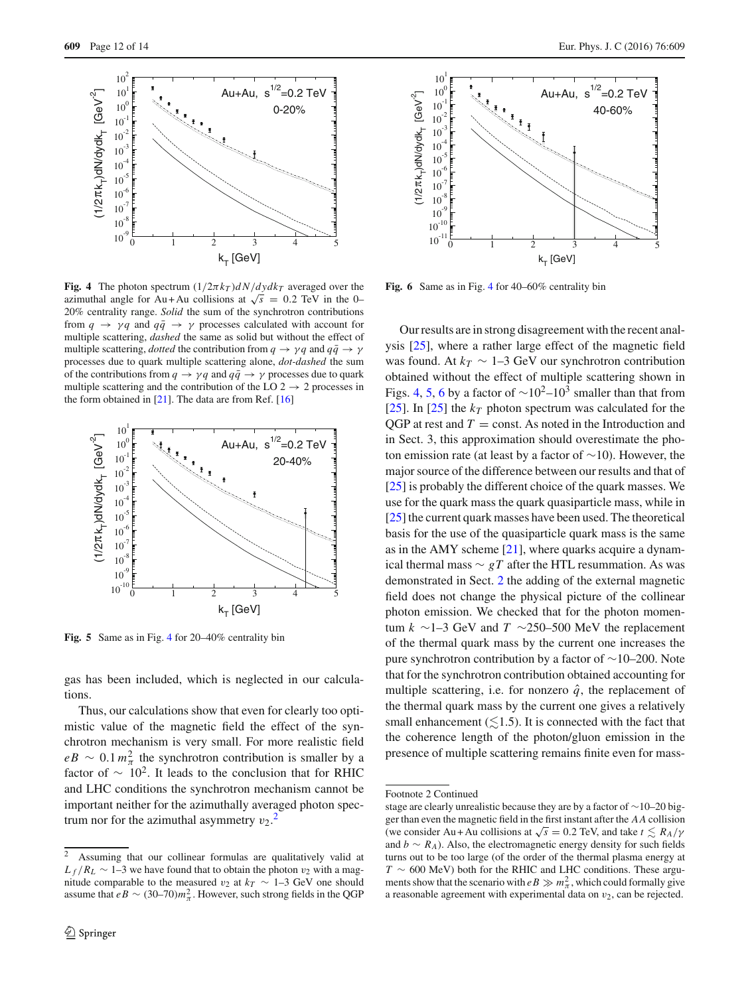

<span id="page-11-0"></span>**Fig. 4** The photon spectrum  $\left(\frac{1}{2\pi k_T}\right)dN/dydk_T$  averaged over the azimuthal angle for Au + Au collisions at  $\sqrt{s}$  = 0.2 TeV in the 0– 20% centrality range. *Solid* the sum of the synchrotron contributions from  $q \rightarrow \gamma q$  and  $q\bar{q} \rightarrow \gamma$  processes calculated with account for multiple scattering, *dashed* the same as solid but without the effect of multiple scattering, *dotted* the contribution from  $q \rightarrow \gamma q$  and  $q\bar{q} \rightarrow \gamma$ processes due to quark multiple scattering alone, *dot-dashed* the sum of the contributions from  $q \to \gamma q$  and  $q\bar{q} \to \gamma$  processes due to quark multiple scattering and the contribution of the LO  $2 \rightarrow 2$  processes in the form obtained in  $[21]$  $[21]$ . The data are from Ref.  $[16]$ 



<span id="page-11-1"></span>**Fig. 5** Same as in Fig. [4](#page-11-0) for 20–40% centrality bin

gas has been included, which is neglected in our calculations.

Thus, our calculations show that even for clearly too optimistic value of the magnetic field the effect of the synchrotron mechanism is very small. For more realistic field  $eB \sim 0.1 m_{\pi}^2$  the synchrotron contribution is smaller by a factor of  $\sim 10^2$ . It leads to the conclusion that for RHIC and LHC conditions the synchrotron mechanism cannot be important neither for the azimuthally averaged photon spectrum nor for the azimuthal asymmetry  $v_2$  $v_2$ .<sup>2</sup>



<span id="page-11-2"></span>**Fig. 6** Same as in Fig. [4](#page-11-0) for 40–60% centrality bin

Our results are in strong disagreement with the recent analysis [\[25](#page-12-18)], where a rather large effect of the magnetic field was found. At  $k_T \sim 1-3$  GeV our synchrotron contribution obtained without the effect of multiple scattering shown in Figs. [4,](#page-11-0) [5,](#page-11-1) [6](#page-11-2) by a factor of  $\sim 10^2$ – $10^3$  smaller than that from [\[25](#page-12-18)]. In [25] the  $k_T$  photon spectrum was calculated for the  $QGP$  at rest and  $T =$  const. As noted in the Introduction and in Sect. 3, this approximation should overestimate the photon emission rate (at least by a factor of ∼10). However, the major source of the difference between our results and that of [\[25](#page-12-18)] is probably the different choice of the quark masses. We use for the quark mass the quark quasiparticle mass, while in [\[25](#page-12-18)] the current quark masses have been used. The theoretical basis for the use of the quasiparticle quark mass is the same as in the AMY scheme  $[21]$  $[21]$ , where quarks acquire a dynamical thermal mass  $∼ gT$  after the HTL resummation. As was demonstrated in Sect. [2](#page-2-0) the adding of the external magnetic field does not change the physical picture of the collinear photon emission. We checked that for the photon momentum *k* ∼1–3 GeV and *T* ∼250–500 MeV the replacement of the thermal quark mass by the current one increases the pure synchrotron contribution by a factor of ∼10–200. Note that for the synchrotron contribution obtained accounting for multiple scattering, i.e. for nonzero  $\hat{q}$ , the replacement of the thermal quark mass by the current one gives a relatively small enhancement  $(\leq 1.5)$ . It is connected with the fact that the coherence length of the photon/gluon emission in the presence of multiple scattering remains finite even for mass-

<span id="page-11-3"></span> $\overline{2}$  Assuming that our collinear formulas are qualitatively valid at  $L_f/R_L \sim 1-3$  we have found that to obtain the photon  $v_2$  with a magnitude comparable to the measured  $v_2$  at  $k_T \sim 1-3$  GeV one should assume that  $eB \sim (30-70)m_{\pi}^2$ . However, such strong fields in the QGP

Footnote 2 Continued

stage are clearly unrealistic because they are by a factor of ∼10–20 bigger than even the magnetic field in the first instant after the *AA* collision (we consider Au + Au collisions at  $\sqrt{s} = 0.2$  TeV, and take  $t \leq R_A/\gamma$ and  $b \sim R_A$ ). Also, the electromagnetic energy density for such fields turns out to be too large (of the order of the thermal plasma energy at *T* ∼ 600 MeV) both for the RHIC and LHC conditions. These arguments show that the scenario with  $eB \gg m_{\pi}^2$ , which could formally give a reasonable agreement with experimental data on  $v_2$ , can be rejected.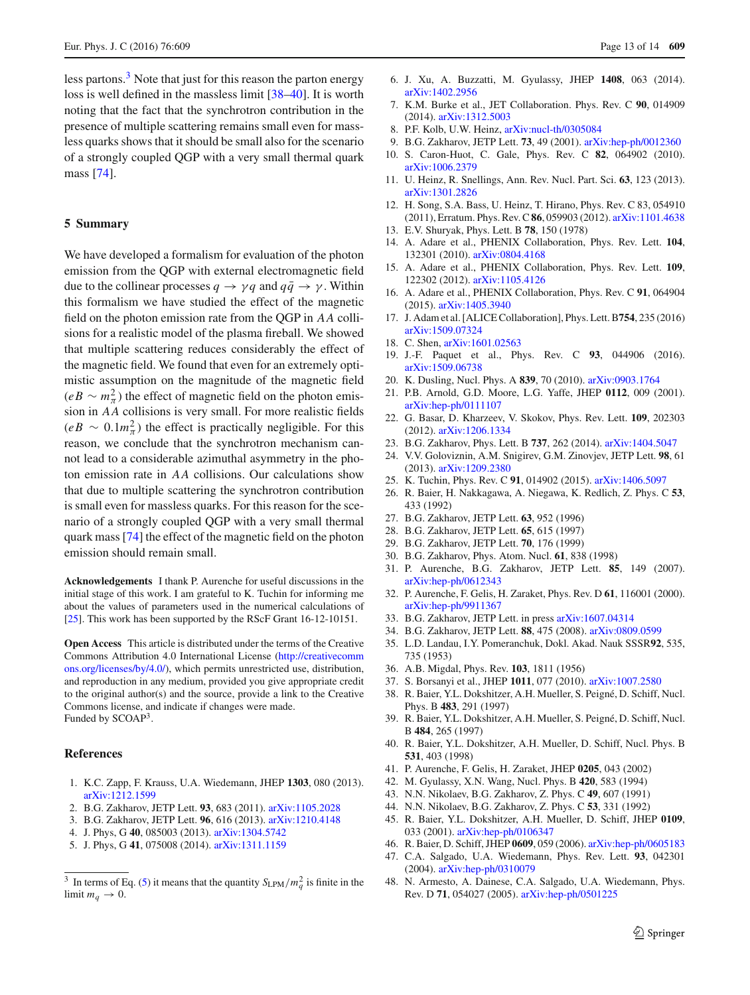less partons. $3$  Note that just for this reason the parton energy loss is well defined in the massless limit [\[38](#page-12-29)[–40](#page-12-30)]. It is worth noting that the fact that the synchrotron contribution in the presence of multiple scattering remains small even for massless quarks shows that it should be small also for the scenario of a strongly coupled QGP with a very small thermal quark mass [\[74\]](#page-13-24).

#### <span id="page-12-24"></span>**5 Summary**

We have developed a formalism for evaluation of the photon emission from the QGP with external electromagnetic field due to the collinear processes  $q \rightarrow \gamma q$  and  $q\bar{q} \rightarrow \gamma$ . Within this formalism we have studied the effect of the magnetic field on the photon emission rate from the QGP in *AA* collisions for a realistic model of the plasma fireball. We showed that multiple scattering reduces considerably the effect of the magnetic field. We found that even for an extremely optimistic assumption on the magnitude of the magnetic field  $(eB \sim m_{\pi}^2)$  the effect of magnetic field on the photon emission in *AA* collisions is very small. For more realistic fields  $(eB \sim 0.1 m_{\pi}^2)$  the effect is practically negligible. For this reason, we conclude that the synchrotron mechanism cannot lead to a considerable azimuthal asymmetry in the photon emission rate in *AA* collisions. Our calculations show that due to multiple scattering the synchrotron contribution is small even for massless quarks. For this reason for the scenario of a strongly coupled QGP with a very small thermal quark mass [\[74\]](#page-13-24) the effect of the magnetic field on the photon emission should remain small.

**Acknowledgements** I thank P. Aurenche for useful discussions in the initial stage of this work. I am grateful to K. Tuchin for informing me about the values of parameters used in the numerical calculations of [\[25](#page-12-18)]. This work has been supported by the RScF Grant 16-12-10151.

**Open Access** This article is distributed under the terms of the Creative Commons Attribution 4.0 International License [\(http://creativecomm](http://creativecommons.org/licenses/by/4.0/) [ons.org/licenses/by/4.0/\)](http://creativecommons.org/licenses/by/4.0/), which permits unrestricted use, distribution, and reproduction in any medium, provided you give appropriate credit to the original author(s) and the source, provide a link to the Creative Commons license, and indicate if changes were made. Funded by SCOAP3.

#### **References**

- <span id="page-12-0"></span>1. K.C. Zapp, F. Krauss, U.A. Wiedemann, JHEP **1303**, 080 (2013). [arXiv:1212.1599](http://arxiv.org/abs/1212.1599)
- <span id="page-12-37"></span>2. B.G. Zakharov, JETP Lett. **93**, 683 (2011). [arXiv:1105.2028](http://arxiv.org/abs/1105.2028)
- 3. B.G. Zakharov, JETP Lett. **96**, 616 (2013). [arXiv:1210.4148](http://arxiv.org/abs/1210.4148)
- 4. J. Phys, G **40**, 085003 (2013). [arXiv:1304.5742](http://arxiv.org/abs/1304.5742)
- <span id="page-12-38"></span>5. J. Phys, G **41**, 075008 (2014). [arXiv:1311.1159](http://arxiv.org/abs/1311.1159)
- 6. J. Xu, A. Buzzatti, M. Gyulassy, JHEP **1408**, 063 (2014). [arXiv:1402.2956](http://arxiv.org/abs/1402.2956)
- <span id="page-12-1"></span>7. K.M. Burke et al., JET Collaboration. Phys. Rev. C **90**, 014909 (2014). [arXiv:1312.5003](http://arxiv.org/abs/1312.5003)
- <span id="page-12-2"></span>8. P.F. Kolb, U.W. Heinz, [arXiv:nucl-th/0305084](http://arxiv.org/abs/nucl-th/0305084)
- <span id="page-12-3"></span>9. B.G. Zakharov, JETP Lett. **73**, 49 (2001). [arXiv:hep-ph/0012360](http://arxiv.org/abs/hep-ph/0012360)
- <span id="page-12-4"></span>10. S. Caron-Huot, C. Gale, Phys. Rev. C **82**, 064902 (2010). [arXiv:1006.2379](http://arxiv.org/abs/1006.2379)
- <span id="page-12-5"></span>11. U. Heinz, R. Snellings, Ann. Rev. Nucl. Part. Sci. **63**, 123 (2013). [arXiv:1301.2826](http://arxiv.org/abs/1301.2826)
- <span id="page-12-6"></span>12. H. Song, S.A. Bass, U. Heinz, T. Hirano, Phys. Rev. C 83, 054910 (2011), Erratum. Phys. Rev. C**86**, 059903 (2012). [arXiv:1101.4638](http://arxiv.org/abs/1101.4638)
- <span id="page-12-7"></span>13. E.V. Shuryak, Phys. Lett. B **78**, 150 (1978)
- <span id="page-12-8"></span>14. A. Adare et al., PHENIX Collaboration, Phys. Rev. Lett. **104**, 132301 (2010). [arXiv:0804.4168](http://arxiv.org/abs/0804.4168)
- 15. A. Adare et al., PHENIX Collaboration, Phys. Rev. Lett. **109**, 122302 (2012). [arXiv:1105.4126](http://arxiv.org/abs/1105.4126)
- <span id="page-12-9"></span>16. A. Adare et al., PHENIX Collaboration, Phys. Rev. C **91**, 064904 (2015). [arXiv:1405.3940](http://arxiv.org/abs/1405.3940)
- <span id="page-12-10"></span>17. J. Adam et al. [ALICE Collaboration], Phys. Lett. B**754**, 235 (2016) [arXiv:1509.07324](http://arxiv.org/abs/1509.07324)
- <span id="page-12-11"></span>18. C. Shen, [arXiv:1601.02563](http://arxiv.org/abs/1601.02563)
- <span id="page-12-12"></span>19. J.-F. Paquet et al., Phys. Rev. C **93**, 044906 (2016). [arXiv:1509.06738](http://arxiv.org/abs/1509.06738)
- <span id="page-12-13"></span>20. K. Dusling, Nucl. Phys. A **839**, 70 (2010). [arXiv:0903.1764](http://arxiv.org/abs/0903.1764)
- <span id="page-12-14"></span>21. P.B. Arnold, G.D. Moore, L.G. Yaffe, JHEP **0112**, 009 (2001). [arXiv:hep-ph/0111107](http://arxiv.org/abs/hep-ph/0111107)
- <span id="page-12-15"></span>22. G. Basar, D. Kharzeev, V. Skokov, Phys. Rev. Lett. **109**, 202303 (2012). [arXiv:1206.1334](http://arxiv.org/abs/1206.1334)
- <span id="page-12-16"></span>23. B.G. Zakharov, Phys. Lett. B **737**, 262 (2014). [arXiv:1404.5047](http://arxiv.org/abs/1404.5047)
- <span id="page-12-17"></span>24. V.V. Goloviznin, A.M. Snigirev, G.M. Zinovjev, JETP Lett. **98**, 61 (2013). [arXiv:1209.2380](http://arxiv.org/abs/1209.2380)
- <span id="page-12-18"></span>25. K. Tuchin, Phys. Rev. C **91**, 014902 (2015). [arXiv:1406.5097](http://arxiv.org/abs/1406.5097)
- <span id="page-12-19"></span>26. R. Baier, H. Nakkagawa, A. Niegawa, K. Redlich, Z. Phys. C **53**, 433 (1992)
- <span id="page-12-20"></span>27. B.G. Zakharov, JETP Lett. **63**, 952 (1996)
- 28. B.G. Zakharov, JETP Lett. **65**, 615 (1997)
- 29. B.G. Zakharov, JETP Lett. **70**, 176 (1999)
- <span id="page-12-21"></span>30. B.G. Zakharov, Phys. Atom. Nucl. **61**, 838 (1998)
- <span id="page-12-22"></span>31. P. Aurenche, B.G. Zakharov, JETP Lett. **85**, 149 (2007). [arXiv:hep-ph/0612343](http://arxiv.org/abs/hep-ph/0612343)
- <span id="page-12-23"></span>32. P. Aurenche, F. Gelis, H. Zaraket, Phys. Rev. D **61**, 116001 (2000). [arXiv:hep-ph/9911367](http://arxiv.org/abs/hep-ph/9911367)
- <span id="page-12-25"></span>33. B.G. Zakharov, JETP Lett. in press [arXiv:1607.04314](http://arxiv.org/abs/1607.04314)
- <span id="page-12-26"></span>34. B.G. Zakharov, JETP Lett. **88**, 475 (2008). [arXiv:0809.0599](http://arxiv.org/abs/0809.0599)
- <span id="page-12-27"></span>35. L.D. Landau, I.Y. Pomeranchuk, Dokl. Akad. Nauk SSSR**92**, 535, 735 (1953)
- <span id="page-12-28"></span>36. A.B. Migdal, Phys. Rev. **103**, 1811 (1956)
- <span id="page-12-31"></span>37. S. Borsanyi et al., JHEP **1011**, 077 (2010). [arXiv:1007.2580](http://arxiv.org/abs/1007.2580)
- <span id="page-12-29"></span>38. R. Baier, Y.L. Dokshitzer, A.H. Mueller, S. Peigné, D. Schiff, Nucl. Phys. B **483**, 291 (1997)
- 39. R. Baier, Y.L. Dokshitzer, A.H. Mueller, S. Peigné, D. Schiff, Nucl. B **484**, 265 (1997)
- <span id="page-12-30"></span>40. R. Baier, Y.L. Dokshitzer, A.H. Mueller, D. Schiff, Nucl. Phys. B **531**, 403 (1998)
- <span id="page-12-32"></span>41. P. Aurenche, F. Gelis, H. Zaraket, JHEP **0205**, 043 (2002)
- <span id="page-12-33"></span>42. M. Gyulassy, X.N. Wang, Nucl. Phys. B **420**, 583 (1994)
- <span id="page-12-34"></span>43. N.N. Nikolaev, B.G. Zakharov, Z. Phys. C **49**, 607 (1991)
- <span id="page-12-35"></span>44. N.N. Nikolaev, B.G. Zakharov, Z. Phys. C **53**, 331 (1992)
- <span id="page-12-36"></span>45. R. Baier, Y.L. Dokshitzer, A.H. Mueller, D. Schiff, JHEP **0109**, 033 (2001). [arXiv:hep-ph/0106347](http://arxiv.org/abs/hep-ph/0106347)
- 46. R. Baier, D. Schiff, JHEP **0609**, 059 (2006). [arXiv:hep-ph/0605183](http://arxiv.org/abs/hep-ph/0605183)
- 47. C.A. Salgado, U.A. Wiedemann, Phys. Rev. Lett. **93**, 042301 (2004). [arXiv:hep-ph/0310079](http://arxiv.org/abs/hep-ph/0310079)
- 48. N. Armesto, A. Dainese, C.A. Salgado, U.A. Wiedemann, Phys. Rev. D **71**, 054027 (2005). [arXiv:hep-ph/0501225](http://arxiv.org/abs/hep-ph/0501225)

<span id="page-12-39"></span><sup>&</sup>lt;sup>3</sup> In terms of Eq. [\(5\)](#page-2-4) it means that the quantity  $S_{\text{LPM}}/m_q^2$  is finite in the limit  $m_q \to 0$ .